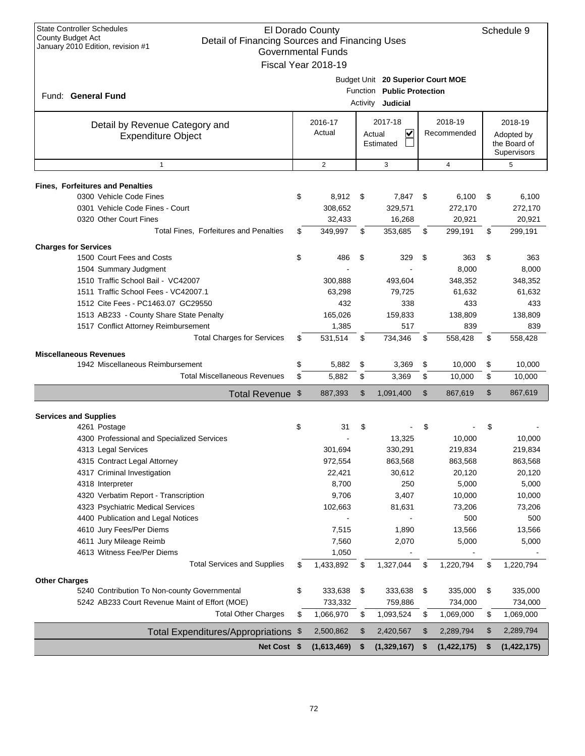| <b>State Controller Schedules</b>                                   | El Dorado County          |          |                                   |                   | Schedule 9        |
|---------------------------------------------------------------------|---------------------------|----------|-----------------------------------|-------------------|-------------------|
| County Budget Act<br>Detail of Financing Sources and Financing Uses |                           |          |                                   |                   |                   |
| January 2010 Edition, revision #1                                   | <b>Governmental Funds</b> |          |                                   |                   |                   |
|                                                                     | Fiscal Year 2018-19       |          |                                   |                   |                   |
|                                                                     |                           |          | Budget Unit 20 Superior Court MOE |                   |                   |
|                                                                     |                           | Function | <b>Public Protection</b>          |                   |                   |
| Fund: General Fund                                                  |                           |          | Activity Judicial                 |                   |                   |
|                                                                     |                           |          |                                   |                   |                   |
| Detail by Revenue Category and                                      | 2016-17                   |          | 2017-18                           | 2018-19           | 2018-19           |
| <b>Expenditure Object</b>                                           | Actual                    |          | $\overline{\mathbf{v}}$<br>Actual | Recommended       | Adopted by        |
|                                                                     |                           |          | Estimated                         |                   | the Board of      |
|                                                                     |                           |          |                                   |                   | Supervisors       |
| $\mathbf{1}$                                                        | $\overline{2}$            |          | 3                                 | $\overline{4}$    | 5                 |
| <b>Fines, Forfeitures and Penalties</b>                             |                           |          |                                   |                   |                   |
| 0300 Vehicle Code Fines                                             | \$<br>8,912               | \$       | 7,847                             | \$<br>6,100       | \$<br>6,100       |
| 0301 Vehicle Code Fines - Court                                     | 308,652                   |          | 329,571                           | 272,170           | 272,170           |
| 0320 Other Court Fines                                              | 32,433                    |          | 16,268                            | 20,921            | 20,921            |
| Total Fines, Forfeitures and Penalties                              | \$<br>349,997             | \$       | 353.685                           | \$<br>299,191     | \$<br>299,191     |
|                                                                     |                           |          |                                   |                   |                   |
| <b>Charges for Services</b>                                         |                           |          |                                   |                   |                   |
| 1500 Court Fees and Costs                                           | \$<br>486                 | \$       | 329                               | \$<br>363         | \$<br>363         |
| 1504 Summary Judgment                                               |                           |          |                                   | 8,000             | 8,000             |
| 1510 Traffic School Bail - VC42007                                  | 300,888                   |          | 493,604                           | 348,352           | 348,352           |
| 1511 Traffic School Fees - VC42007.1                                | 63,298                    |          | 79,725                            | 61.632            | 61,632            |
| 1512 Cite Fees - PC1463.07 GC29550                                  | 432                       |          | 338                               | 433               | 433               |
| 1513 AB233 - County Share State Penalty                             | 165,026                   |          | 159,833                           | 138,809           | 138,809           |
| 1517 Conflict Attorney Reimbursement                                | 1,385                     |          | 517                               | 839               | 839               |
| <b>Total Charges for Services</b>                                   | \$<br>531,514             | \$       | 734,346                           | \$<br>558,428     | \$<br>558,428     |
| <b>Miscellaneous Revenues</b>                                       |                           |          |                                   |                   |                   |
| 1942 Miscellaneous Reimbursement                                    | \$<br>5,882               | \$       | 3,369                             | \$<br>10,000      | \$<br>10,000      |
| <b>Total Miscellaneous Revenues</b>                                 | \$<br>5,882               | \$       | 3,369                             | \$<br>10,000      | \$<br>10,000      |
| Total Revenue \$                                                    | 887,393                   | \$       | 1,091,400                         | \$<br>867,619     | \$<br>867,619     |
|                                                                     |                           |          |                                   |                   |                   |
| <b>Services and Supplies</b>                                        |                           |          |                                   |                   |                   |
| 4261 Postage                                                        | \$<br>31                  | \$       |                                   | \$                | \$                |
| 4300 Professional and Specialized Services                          |                           |          | 13,325                            | 10,000            | 10,000            |
| 4313 Legal Services                                                 | 301,694                   |          | 330,291                           | 219,834           | 219,834           |
| 4315 Contract Legal Attorney                                        | 972,554                   |          | 863,568                           | 863,568           | 863,568           |
| 4317 Criminal Investigation                                         | 22,421                    |          | 30,612                            | 20,120            | 20,120            |
| 4318 Interpreter                                                    | 8,700                     |          | 250                               | 5,000             | 5,000             |
| 4320 Verbatim Report - Transcription                                | 9,706                     |          | 3,407                             | 10,000            | 10,000            |
| 4323 Psychiatric Medical Services                                   | 102,663                   |          | 81,631                            | 73,206            | 73,206            |
| 4400 Publication and Legal Notices                                  |                           |          |                                   | 500               | 500               |
| 4610 Jury Fees/Per Diems                                            | 7,515                     |          | 1,890                             | 13,566            | 13,566            |
| 4611 Jury Mileage Reimb                                             | 7,560                     |          | 2,070                             | 5,000             | 5,000             |
| 4613 Witness Fee/Per Diems                                          | 1,050                     |          |                                   |                   |                   |
| <b>Total Services and Supplies</b>                                  | \$<br>1,433,892           | \$       | 1,327,044                         | \$<br>1,220,794   | \$<br>1,220,794   |
| <b>Other Charges</b>                                                |                           |          |                                   |                   |                   |
| 5240 Contribution To Non-county Governmental                        | \$<br>333,638             | \$       | 333,638                           | \$<br>335,000     | \$<br>335,000     |
| 5242 AB233 Court Revenue Maint of Effort (MOE)                      | 733,332                   |          | 759,886                           | 734,000           | 734,000           |
| <b>Total Other Charges</b>                                          | \$<br>1,066,970           | \$       | 1,093,524                         | \$<br>1,069,000   | \$<br>1,069,000   |
| Total Expenditures/Appropriations \$                                | 2,500,862                 | \$       | 2,420,567                         | \$<br>2,289,794   | \$<br>2,289,794   |
|                                                                     |                           |          |                                   |                   |                   |
| Net Cost \$                                                         | (1,613,469)               | \$       | (1,329,167)                       | \$<br>(1,422,175) | \$<br>(1,422,175) |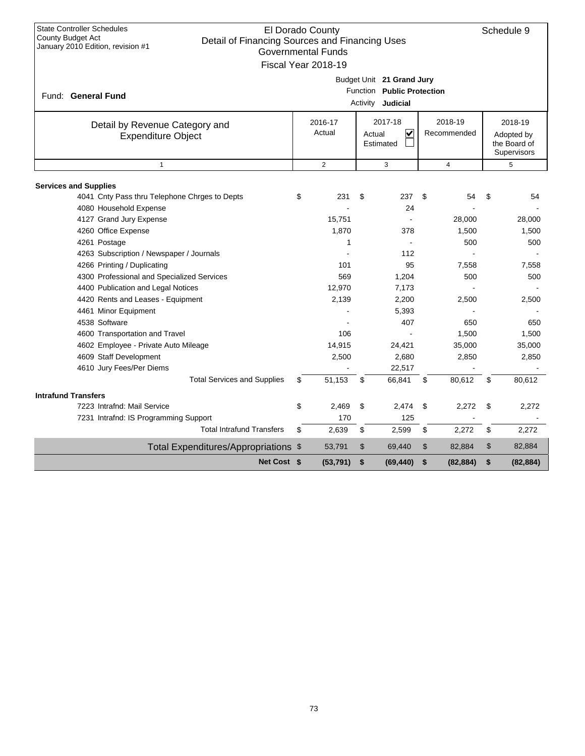| <b>State Controller Schedules</b><br>El Dorado County<br>Schedule 9<br>County Budget Act<br>Detail of Financing Sources and Financing Uses<br>January 2010 Edition, revision #1<br><b>Governmental Funds</b><br>Fiscal Year 2018-19 |    |                   |        |                                                                              |             |                                                      |    |           |  |  |
|-------------------------------------------------------------------------------------------------------------------------------------------------------------------------------------------------------------------------------------|----|-------------------|--------|------------------------------------------------------------------------------|-------------|------------------------------------------------------|----|-----------|--|--|
| Fund: General Fund                                                                                                                                                                                                                  |    |                   |        | Budget Unit 21 Grand Jury<br>Function Public Protection<br>Activity Judicial |             |                                                      |    |           |  |  |
| Detail by Revenue Category and<br><b>Expenditure Object</b>                                                                                                                                                                         |    | 2016-17<br>Actual | Actual | 2017-18<br>V<br>Estimated                                                    | Recommended | 2018-19<br>Adopted by<br>the Board of<br>Supervisors |    |           |  |  |
| $\overline{1}$                                                                                                                                                                                                                      |    | $\overline{2}$    |        | 3                                                                            |             | $\overline{4}$                                       |    | 5         |  |  |
|                                                                                                                                                                                                                                     |    |                   |        |                                                                              |             |                                                      |    |           |  |  |
| <b>Services and Supplies</b><br>4041 Cnty Pass thru Telephone Chrges to Depts                                                                                                                                                       | \$ | 231               | \$     | 237                                                                          | \$          | 54                                                   | \$ | 54        |  |  |
| 4080 Household Expense                                                                                                                                                                                                              |    |                   |        | 24                                                                           |             |                                                      |    |           |  |  |
| 4127 Grand Jury Expense                                                                                                                                                                                                             |    | 15,751            |        |                                                                              |             | 28,000                                               |    | 28,000    |  |  |
| 4260 Office Expense                                                                                                                                                                                                                 |    | 1,870             |        | 378                                                                          |             | 1,500                                                |    | 1,500     |  |  |
| 4261 Postage                                                                                                                                                                                                                        |    | 1                 |        |                                                                              |             | 500                                                  |    | 500       |  |  |
| 4263 Subscription / Newspaper / Journals                                                                                                                                                                                            |    |                   |        | 112                                                                          |             |                                                      |    |           |  |  |
| 4266 Printing / Duplicating                                                                                                                                                                                                         |    | 101               |        | 95                                                                           |             | 7,558                                                |    | 7,558     |  |  |
| 4300 Professional and Specialized Services                                                                                                                                                                                          |    | 569               |        | 1,204                                                                        |             | 500                                                  |    | 500       |  |  |
| 4400 Publication and Legal Notices                                                                                                                                                                                                  |    | 12,970            |        | 7,173                                                                        |             |                                                      |    |           |  |  |
| 4420 Rents and Leases - Equipment                                                                                                                                                                                                   |    | 2,139             |        | 2,200                                                                        |             | 2,500                                                |    | 2,500     |  |  |
| 4461 Minor Equipment                                                                                                                                                                                                                |    |                   |        | 5,393                                                                        |             |                                                      |    |           |  |  |
| 4538 Software                                                                                                                                                                                                                       |    |                   |        | 407                                                                          |             | 650                                                  |    | 650       |  |  |
| 4600 Transportation and Travel                                                                                                                                                                                                      |    | 106               |        |                                                                              |             | 1,500                                                |    | 1,500     |  |  |
| 4602 Employee - Private Auto Mileage                                                                                                                                                                                                |    | 14,915            |        | 24,421                                                                       |             | 35,000                                               |    | 35,000    |  |  |
| 4609 Staff Development                                                                                                                                                                                                              |    | 2,500             |        | 2,680                                                                        |             | 2,850                                                |    | 2,850     |  |  |
| 4610 Jury Fees/Per Diems                                                                                                                                                                                                            |    |                   |        | 22,517                                                                       |             |                                                      |    |           |  |  |
| <b>Total Services and Supplies</b>                                                                                                                                                                                                  | \$ | 51,153            | \$     | 66,841                                                                       | \$          | 80,612                                               | \$ | 80,612    |  |  |
| <b>Intrafund Transfers</b>                                                                                                                                                                                                          |    |                   |        |                                                                              |             |                                                      |    |           |  |  |
| 7223 Intrafnd: Mail Service                                                                                                                                                                                                         | \$ | 2,469             | \$     | 2.474                                                                        | \$          | 2.272                                                | \$ | 2,272     |  |  |
| 7231 Intrafnd: IS Programming Support                                                                                                                                                                                               |    | 170               |        | 125                                                                          |             |                                                      |    |           |  |  |
| <b>Total Intrafund Transfers</b>                                                                                                                                                                                                    | \$ | 2,639             | \$     | 2,599                                                                        | \$          | 2,272                                                | \$ | 2,272     |  |  |
| Total Expenditures/Appropriations \$                                                                                                                                                                                                |    | 53,791            | \$     | 69,440                                                                       | \$          | 82,884                                               | \$ | 82,884    |  |  |
| Net Cost \$                                                                                                                                                                                                                         |    | (53, 791)         | \$     | (69, 440)                                                                    | \$          | (82, 884)                                            | \$ | (82, 884) |  |  |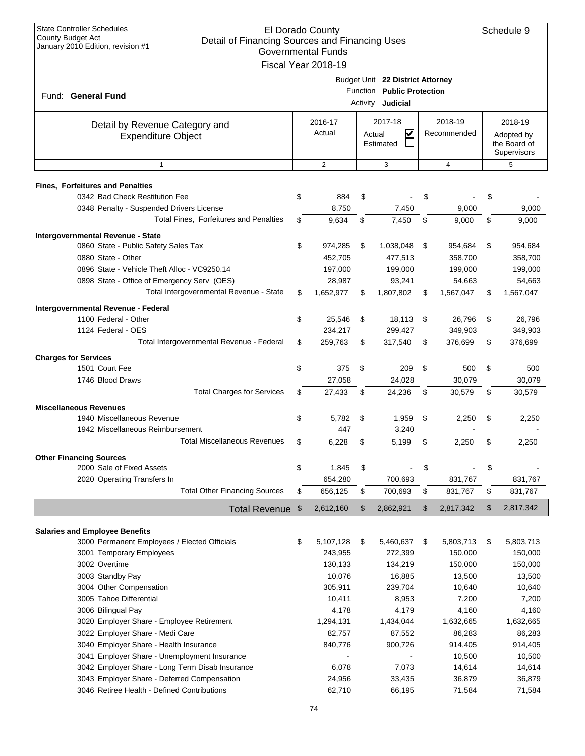| <b>State Controller Schedules</b><br><b>County Budget Act</b><br>Detail of Financing Sources and Financing Uses<br>January 2010 Edition, revision #1 | El Dorado County<br><b>Governmental Funds</b><br>Fiscal Year 2018-19 |    |                                                                |      |                |    | Schedule 9                                |
|------------------------------------------------------------------------------------------------------------------------------------------------------|----------------------------------------------------------------------|----|----------------------------------------------------------------|------|----------------|----|-------------------------------------------|
|                                                                                                                                                      |                                                                      |    | Budget Unit 22 District Attorney<br>Function Public Protection |      |                |    |                                           |
| Fund: General Fund                                                                                                                                   |                                                                      |    | Activity Judicial                                              |      |                |    |                                           |
| Detail by Revenue Category and                                                                                                                       | 2016-17                                                              |    | 2017-18                                                        |      | 2018-19        |    | 2018-19                                   |
| <b>Expenditure Object</b>                                                                                                                            | Actual<br>$\checkmark$<br>Recommended<br>Actual<br>Estimated         |    |                                                                |      |                |    | Adopted by<br>the Board of<br>Supervisors |
| $\mathbf{1}$                                                                                                                                         | $\overline{2}$                                                       |    | 3                                                              |      | $\overline{4}$ |    | 5                                         |
| <b>Fines, Forfeitures and Penalties</b>                                                                                                              |                                                                      |    |                                                                |      |                |    |                                           |
| 0342 Bad Check Restitution Fee                                                                                                                       | \$<br>884                                                            | \$ |                                                                | \$   |                | \$ |                                           |
| 0348 Penalty - Suspended Drivers License                                                                                                             | 8,750                                                                |    | 7,450                                                          |      | 9,000          |    | 9,000                                     |
| Total Fines, Forfeitures and Penalties                                                                                                               | \$<br>9,634                                                          | \$ | 7,450                                                          | \$   | 9,000          | \$ | 9,000                                     |
| Intergovernmental Revenue - State                                                                                                                    |                                                                      |    |                                                                |      |                |    |                                           |
| 0860 State - Public Safety Sales Tax                                                                                                                 | \$<br>974,285                                                        | \$ | 1,038,048                                                      | \$   | 954,684        | \$ | 954,684                                   |
| 0880 State - Other                                                                                                                                   | 452,705                                                              |    | 477,513                                                        |      | 358,700        |    | 358,700                                   |
| 0896 State - Vehicle Theft Alloc - VC9250.14                                                                                                         | 197,000                                                              |    | 199,000                                                        |      | 199,000        |    | 199,000                                   |
| 0898 State - Office of Emergency Serv (OES)                                                                                                          | 28,987                                                               |    | 93,241                                                         |      | 54,663         |    | 54,663                                    |
| Total Intergovernmental Revenue - State                                                                                                              | \$<br>1,652,977                                                      | \$ | 1,807,802                                                      | \$   | 1,567,047      | \$ | 1,567,047                                 |
| Intergovernmental Revenue - Federal                                                                                                                  |                                                                      |    |                                                                |      |                |    |                                           |
| 1100 Federal - Other                                                                                                                                 | \$<br>25,546                                                         | \$ | 18,113                                                         | \$   | 26,796         | \$ | 26,796                                    |
| 1124 Federal - OES                                                                                                                                   | 234,217                                                              |    | 299,427                                                        |      | 349,903        |    | 349,903                                   |
| Total Intergovernmental Revenue - Federal                                                                                                            | \$<br>259,763                                                        | \$ | 317,540                                                        | \$   | 376,699        | \$ | 376,699                                   |
| <b>Charges for Services</b>                                                                                                                          |                                                                      |    |                                                                |      |                |    |                                           |
| 1501 Court Fee                                                                                                                                       | \$<br>375                                                            | \$ | 209                                                            | \$   | 500            | \$ | 500                                       |
| 1746 Blood Draws                                                                                                                                     | 27,058                                                               |    | 24,028                                                         |      | 30,079         |    | 30,079                                    |
| <b>Total Charges for Services</b>                                                                                                                    | \$<br>27,433                                                         | \$ | 24,236                                                         | S    | 30,579         | \$ | 30,579                                    |
| <b>Miscellaneous Revenues</b>                                                                                                                        |                                                                      |    |                                                                |      |                |    |                                           |
| 1940 Miscellaneous Revenue                                                                                                                           | \$<br>5,782                                                          | \$ | 1,959                                                          | \$   | 2,250          | \$ | 2,250                                     |
| 1942 Miscellaneous Reimbursement                                                                                                                     | 447                                                                  |    | 3,240                                                          |      |                |    |                                           |
| <b>Total Miscellaneous Revenues</b>                                                                                                                  | \$<br>6,228                                                          | \$ | 5,199                                                          | \$   | 2,250          | \$ | 2,250                                     |
| <b>Other Financing Sources</b>                                                                                                                       |                                                                      |    |                                                                |      |                |    |                                           |
| 2000 Sale of Fixed Assets                                                                                                                            | \$<br>1,845                                                          | \$ |                                                                | \$   |                | \$ |                                           |
| 2020 Operating Transfers In                                                                                                                          | 654,280                                                              |    | 700,693                                                        |      | 831,767        |    | 831,767                                   |
| <b>Total Other Financing Sources</b>                                                                                                                 | \$<br>656,125                                                        | \$ | 700,693                                                        | \$   | 831,767        | \$ | 831,767                                   |
| <b>Total Revenue</b>                                                                                                                                 | \$<br>2,612,160                                                      | \$ | 2,862,921                                                      | \$   | 2,817,342      | \$ | 2,817,342                                 |
| <b>Salaries and Employee Benefits</b>                                                                                                                |                                                                      |    |                                                                |      |                |    |                                           |
| 3000 Permanent Employees / Elected Officials                                                                                                         | \$<br>5,107,128                                                      | \$ | 5,460,637                                                      | - \$ | 5,803,713      | \$ | 5,803,713                                 |
| 3001 Temporary Employees                                                                                                                             | 243,955                                                              |    | 272,399                                                        |      | 150,000        |    | 150,000                                   |
| 3002 Overtime                                                                                                                                        | 130,133                                                              |    | 134,219                                                        |      | 150,000        |    | 150,000                                   |
| 3003 Standby Pay                                                                                                                                     | 10,076                                                               |    | 16,885                                                         |      | 13,500         |    | 13,500                                    |
| 3004 Other Compensation                                                                                                                              | 305,911                                                              |    | 239,704                                                        |      | 10,640         |    | 10,640                                    |
| 3005 Tahoe Differential                                                                                                                              | 10,411                                                               |    | 8,953                                                          |      | 7,200          |    | 7,200                                     |
| 3006 Bilingual Pay                                                                                                                                   | 4,178                                                                |    | 4,179                                                          |      | 4,160          |    | 4,160                                     |
| 3020 Employer Share - Employee Retirement                                                                                                            | 1,294,131                                                            |    | 1,434,044                                                      |      | 1,632,665      |    | 1,632,665                                 |
| 3022 Employer Share - Medi Care                                                                                                                      | 82,757                                                               |    | 87,552                                                         |      | 86,283         |    | 86,283                                    |
| 3040 Employer Share - Health Insurance                                                                                                               | 840,776                                                              |    | 900,726                                                        |      | 914,405        |    | 914,405                                   |
| 3041 Employer Share - Unemployment Insurance                                                                                                         |                                                                      |    |                                                                |      | 10,500         |    | 10,500                                    |
| 3042 Employer Share - Long Term Disab Insurance                                                                                                      | 6,078                                                                |    | 7,073                                                          |      | 14,614         |    | 14,614                                    |
| 3043 Employer Share - Deferred Compensation                                                                                                          | 24,956                                                               |    | 33,435                                                         |      | 36,879         |    | 36,879                                    |
| 3046 Retiree Health - Defined Contributions                                                                                                          | 62,710                                                               |    | 66,195                                                         |      | 71,584         |    | 71,584                                    |
|                                                                                                                                                      |                                                                      |    |                                                                |      |                |    |                                           |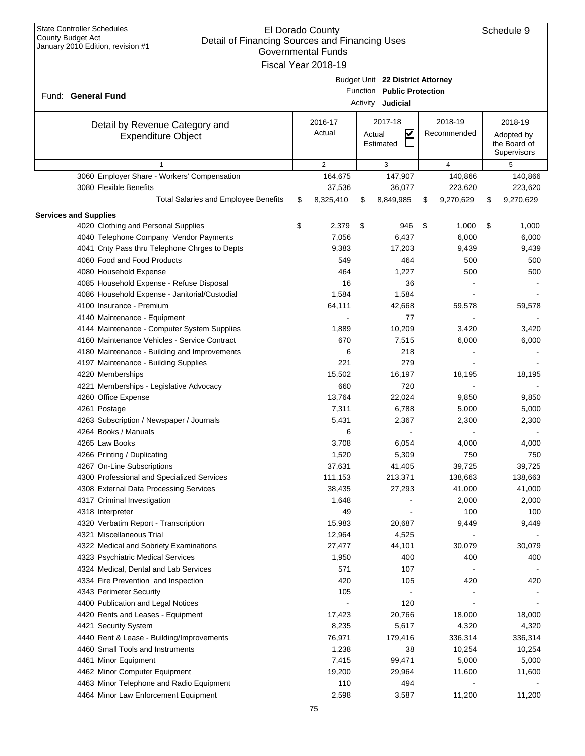| <b>State Controller Schedules</b><br>El Dorado County<br>County Budget Act<br>Detail of Financing Sources and Financing Uses<br>January 2010 Edition, revision #1<br><b>Governmental Funds</b><br>Fiscal Year 2018-19 |    |                   |          |                                                                            |    |                        |    |                                                      |
|-----------------------------------------------------------------------------------------------------------------------------------------------------------------------------------------------------------------------|----|-------------------|----------|----------------------------------------------------------------------------|----|------------------------|----|------------------------------------------------------|
| Fund: General Fund                                                                                                                                                                                                    |    |                   | Activity | Budget Unit 22 District Attorney<br>Function Public Protection<br>Judicial |    |                        |    |                                                      |
| Detail by Revenue Category and<br><b>Expenditure Object</b>                                                                                                                                                           |    | 2016-17<br>Actual | Actual   | 2017-18<br>V<br>Estimated                                                  |    | 2018-19<br>Recommended |    | 2018-19<br>Adopted by<br>the Board of<br>Supervisors |
| $\mathbf{1}$                                                                                                                                                                                                          |    | 2                 |          | 3                                                                          |    | 4                      |    | 5                                                    |
| 3060 Employer Share - Workers' Compensation                                                                                                                                                                           |    | 164,675           |          | 147,907                                                                    |    | 140,866                |    | 140,866                                              |
| 3080 Flexible Benefits                                                                                                                                                                                                |    | 37,536            |          | 36,077                                                                     |    | 223,620                |    | 223,620                                              |
| <b>Total Salaries and Employee Benefits</b>                                                                                                                                                                           | \$ | 8,325,410         | \$       | 8,849,985                                                                  | \$ | 9,270,629              | \$ | 9,270,629                                            |
| <b>Services and Supplies</b>                                                                                                                                                                                          |    |                   |          |                                                                            |    |                        |    |                                                      |
| 4020 Clothing and Personal Supplies                                                                                                                                                                                   | \$ | 2,379             | \$       | 946                                                                        | \$ | 1,000                  | \$ | 1,000                                                |
| 4040 Telephone Company Vendor Payments                                                                                                                                                                                |    | 7,056             |          | 6,437                                                                      |    | 6,000                  |    | 6,000                                                |
| 4041 Cnty Pass thru Telephone Chrges to Depts                                                                                                                                                                         |    | 9,383             |          | 17,203                                                                     |    | 9,439                  |    | 9,439                                                |
| 4060 Food and Food Products                                                                                                                                                                                           |    | 549               |          | 464                                                                        |    | 500                    |    | 500                                                  |
| 4080 Household Expense                                                                                                                                                                                                |    | 464               |          | 1,227                                                                      |    | 500                    |    | 500                                                  |
| 4085 Household Expense - Refuse Disposal                                                                                                                                                                              |    | 16                |          | 36                                                                         |    |                        |    |                                                      |
| 4086 Household Expense - Janitorial/Custodial                                                                                                                                                                         |    | 1,584             |          | 1,584                                                                      |    |                        |    |                                                      |
| 4100 Insurance - Premium                                                                                                                                                                                              |    | 64,111            |          | 42,668                                                                     |    | 59,578                 |    | 59,578                                               |
| 4140 Maintenance - Equipment                                                                                                                                                                                          |    |                   |          | 77                                                                         |    |                        |    |                                                      |
| 4144 Maintenance - Computer System Supplies                                                                                                                                                                           |    | 1,889             |          | 10,209                                                                     |    | 3,420                  |    | 3,420                                                |
| 4160 Maintenance Vehicles - Service Contract                                                                                                                                                                          |    | 670               |          | 7,515                                                                      |    | 6,000                  |    | 6,000                                                |
| 4180 Maintenance - Building and Improvements                                                                                                                                                                          |    | 6                 |          | 218                                                                        |    |                        |    |                                                      |
| 4197 Maintenance - Building Supplies                                                                                                                                                                                  |    | 221               |          | 279                                                                        |    |                        |    |                                                      |
| 4220 Memberships                                                                                                                                                                                                      |    | 15,502            |          | 16,197                                                                     |    | 18,195                 |    | 18,195                                               |
| 4221 Memberships - Legislative Advocacy                                                                                                                                                                               |    | 660               |          | 720                                                                        |    |                        |    |                                                      |
| 4260 Office Expense                                                                                                                                                                                                   |    | 13,764            |          | 22,024                                                                     |    | 9,850                  |    | 9,850                                                |
| 4261 Postage                                                                                                                                                                                                          |    | 7,311             |          | 6,788                                                                      |    | 5,000                  |    | 5,000                                                |
| 4263 Subscription / Newspaper / Journals<br>4264 Books / Manuals                                                                                                                                                      |    | 5,431             |          | 2,367                                                                      |    | 2,300                  |    | 2,300                                                |
| 4265 Law Books                                                                                                                                                                                                        |    | 6<br>3,708        |          | 6,054                                                                      |    | 4,000                  |    | 4,000                                                |
| 4266 Printing / Duplicating                                                                                                                                                                                           |    | 1,520             |          | 5,309                                                                      |    | 750                    |    | 750                                                  |
| 4267 On-Line Subscriptions                                                                                                                                                                                            |    | 37,631            |          | 41,405                                                                     |    | 39,725                 |    | 39,725                                               |
| 4300 Professional and Specialized Services                                                                                                                                                                            |    | 111,153           |          | 213,371                                                                    |    | 138,663                |    | 138,663                                              |
| 4308 External Data Processing Services                                                                                                                                                                                |    | 38,435            |          | 27,293                                                                     |    | 41,000                 |    | 41,000                                               |
| 4317 Criminal Investigation                                                                                                                                                                                           |    | 1,648             |          |                                                                            |    | 2,000                  |    | 2,000                                                |
| 4318 Interpreter                                                                                                                                                                                                      |    | 49                |          |                                                                            |    | 100                    |    | 100                                                  |
| 4320 Verbatim Report - Transcription                                                                                                                                                                                  |    | 15,983            |          | 20,687                                                                     |    | 9,449                  |    | 9,449                                                |
| 4321 Miscellaneous Trial                                                                                                                                                                                              |    | 12,964            |          | 4,525                                                                      |    |                        |    |                                                      |
| 4322 Medical and Sobriety Examinations                                                                                                                                                                                |    | 27,477            |          | 44,101                                                                     |    | 30,079                 |    | 30,079                                               |
| 4323 Psychiatric Medical Services                                                                                                                                                                                     |    | 1,950             |          | 400                                                                        |    | 400                    |    | 400                                                  |
| 4324 Medical, Dental and Lab Services                                                                                                                                                                                 |    | 571               |          | 107                                                                        |    |                        |    |                                                      |
| 4334 Fire Prevention and Inspection                                                                                                                                                                                   |    | 420               |          | 105                                                                        |    | 420                    |    | 420                                                  |
| 4343 Perimeter Security                                                                                                                                                                                               |    | 105               |          |                                                                            |    |                        |    |                                                      |
| 4400 Publication and Legal Notices                                                                                                                                                                                    |    |                   |          | 120                                                                        |    |                        |    |                                                      |
| 4420 Rents and Leases - Equipment                                                                                                                                                                                     |    | 17,423            |          | 20,766                                                                     |    | 18,000                 |    | 18,000                                               |
| 4421 Security System                                                                                                                                                                                                  |    | 8,235             |          | 5,617                                                                      |    | 4,320                  |    | 4,320                                                |
| 4440 Rent & Lease - Building/Improvements                                                                                                                                                                             |    | 76,971            |          | 179,416                                                                    |    | 336,314                |    | 336,314                                              |
| 4460 Small Tools and Instruments                                                                                                                                                                                      |    | 1,238             |          | 38                                                                         |    | 10,254                 |    | 10,254                                               |
| 4461 Minor Equipment                                                                                                                                                                                                  |    | 7,415             |          | 99,471                                                                     |    | 5,000                  |    | 5,000                                                |
| 4462 Minor Computer Equipment                                                                                                                                                                                         |    | 19,200            |          | 29,964                                                                     |    | 11,600                 |    | 11,600                                               |
| 4463 Minor Telephone and Radio Equipment                                                                                                                                                                              |    | 110               |          | 494                                                                        |    |                        |    |                                                      |
| 4464 Minor Law Enforcement Equipment                                                                                                                                                                                  |    | 2,598             |          | 3,587                                                                      |    | 11,200                 |    | 11,200                                               |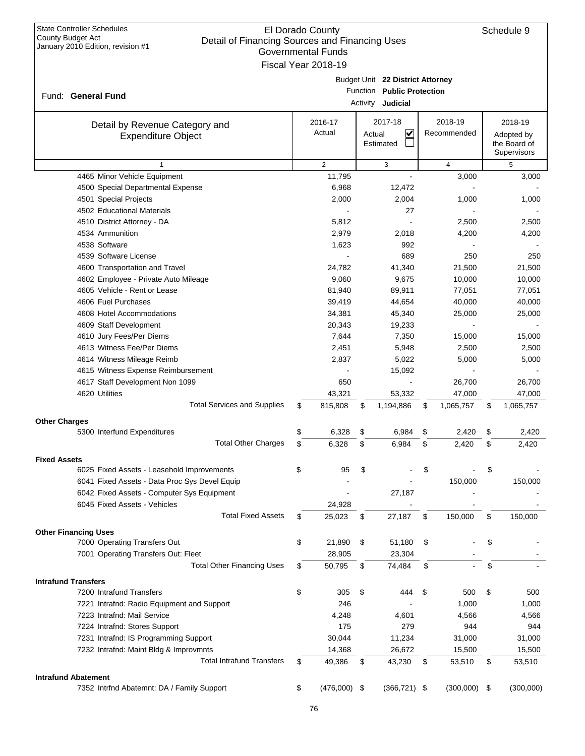| State Controller Schedules<br>County Budget Act<br>January 2010 Edition, revision #1 |  |
|--------------------------------------------------------------------------------------|--|
|                                                                                      |  |
|                                                                                      |  |

|                                                                   |    | Fiscal Year 2018-19 |                                  |                 |                            |
|-------------------------------------------------------------------|----|---------------------|----------------------------------|-----------------|----------------------------|
|                                                                   |    |                     | Budget Unit 22 District Attorney |                 |                            |
|                                                                   |    |                     | Function Public Protection       |                 |                            |
| Fund: General Fund                                                |    |                     | Activity <b>Judicial</b>         |                 |                            |
|                                                                   |    |                     |                                  |                 |                            |
| Detail by Revenue Category and                                    |    | 2016-17             | 2017-18                          | 2018-19         | 2018-19                    |
| <b>Expenditure Object</b>                                         |    | Actual              | ✔<br>Actual<br>Estimated         | Recommended     | Adopted by<br>the Board of |
|                                                                   |    |                     |                                  |                 | Supervisors                |
| $\mathbf{1}$                                                      |    | $\overline{2}$      | 3                                | $\overline{4}$  | 5                          |
| 4465 Minor Vehicle Equipment                                      |    | 11,795              |                                  | 3,000           | 3,000                      |
| 4500 Special Departmental Expense                                 |    | 6,968               | 12,472                           |                 |                            |
| 4501 Special Projects                                             |    | 2,000               | 2,004                            | 1,000           | 1,000                      |
| 4502 Educational Materials                                        |    |                     | 27                               |                 |                            |
| 4510 District Attorney - DA                                       |    | 5,812               | $\blacksquare$                   | 2,500           | 2,500                      |
| 4534 Ammunition                                                   |    | 2,979               | 2,018                            | 4,200           | 4,200                      |
| 4538 Software                                                     |    | 1,623               | 992                              |                 |                            |
| 4539 Software License                                             |    |                     | 689                              | 250             | 250                        |
| 4600 Transportation and Travel                                    |    | 24,782              | 41,340                           | 21,500          | 21,500                     |
| 4602 Employee - Private Auto Mileage                              |    | 9,060               | 9,675                            | 10,000          | 10,000                     |
| 4605 Vehicle - Rent or Lease                                      |    | 81,940              | 89,911                           | 77,051          | 77,051                     |
| 4606 Fuel Purchases                                               |    | 39,419              | 44,654                           | 40,000          | 40,000                     |
| 4608 Hotel Accommodations                                         |    | 34,381              | 45,340                           | 25,000          | 25,000                     |
| 4609 Staff Development                                            |    | 20,343              | 19,233                           |                 |                            |
| 4610 Jury Fees/Per Diems                                          |    | 7,644               | 7,350                            | 15,000          | 15,000                     |
| 4613 Witness Fee/Per Diems                                        |    | 2,451               | 5,948                            | 2,500           | 2,500                      |
| 4614 Witness Mileage Reimb                                        |    | 2,837               | 5,022                            | 5,000           | 5,000                      |
| 4615 Witness Expense Reimbursement                                |    |                     | 15,092                           |                 |                            |
| 4617 Staff Development Non 1099                                   |    | 650                 |                                  | 26,700          | 26,700                     |
| 4620 Utilities                                                    |    | 43,321              | 53,332                           | 47,000          | 47,000                     |
| <b>Total Services and Supplies</b>                                | \$ | 815,808             | \$<br>1,194,886                  | \$<br>1,065,757 | \$<br>1,065,757            |
| Other Charges                                                     |    |                     |                                  |                 |                            |
| 5300 Interfund Expenditures                                       | \$ | 6,328               | \$<br>6,984                      | \$<br>2,420     | \$<br>2,420                |
| <b>Total Other Charges</b>                                        | \$ | 6,328               | \$<br>6,984                      | \$<br>2,420     | \$<br>2,420                |
|                                                                   |    |                     |                                  |                 |                            |
| <b>Fixed Assets</b><br>6025 Fixed Assets - Leasehold Improvements | \$ | 95                  | \$                               | \$              | \$                         |
| 6041 Fixed Assets - Data Proc Sys Devel Equip                     |    |                     |                                  | 150.000         | 150,000                    |
| 6042 Fixed Assets - Computer Sys Equipment                        |    |                     | 27,187                           |                 |                            |
| 6045 Fixed Assets - Vehicles                                      |    | 24,928              |                                  |                 |                            |
| <b>Total Fixed Assets</b>                                         | S  | 25,023              | \$<br>27,187                     | \$<br>150,000   | \$<br>150,000              |
|                                                                   |    |                     |                                  |                 |                            |
| <b>Other Financing Uses</b>                                       |    |                     |                                  |                 |                            |
| 7000 Operating Transfers Out                                      | \$ | 21,890              | \$<br>51,180                     | \$              | \$                         |
| 7001 Operating Transfers Out: Fleet                               |    | 28,905              | 23,304                           |                 |                            |
| <b>Total Other Financing Uses</b>                                 | \$ | 50,795              | \$<br>74,484                     | \$              | \$                         |
| Intrafund Transfers                                               |    |                     |                                  |                 |                            |
| 7200 Intrafund Transfers                                          | \$ | 305                 | \$<br>444                        | \$<br>500       | \$<br>500                  |
| 7221 Intrafnd: Radio Equipment and Support                        |    | 246                 |                                  | 1,000           | 1,000                      |
| 7223 Intrafnd: Mail Service                                       |    | 4,248               | 4,601                            | 4,566           | 4,566                      |
| 7224 Intrafnd: Stores Support                                     |    | 175                 | 279                              | 944             | 944                        |
| 7231 Intrafnd: IS Programming Support                             |    | 30,044              | 11,234                           | 31,000          | 31,000                     |
| 7232 Intrafnd: Maint Bldg & Improvmnts                            |    | 14,368              | 26,672                           | 15,500          | 15,500                     |
| <b>Total Intrafund Transfers</b>                                  | \$ | 49,386              | \$<br>43,230                     | \$<br>53,510    | \$<br>53,510               |

#### **Intrafund Abatement**

7352 Intrfnd Abatemnt: DA / Family Support \$ (476,000) \$ (366,721) \$ (300,000) \$ (300,000)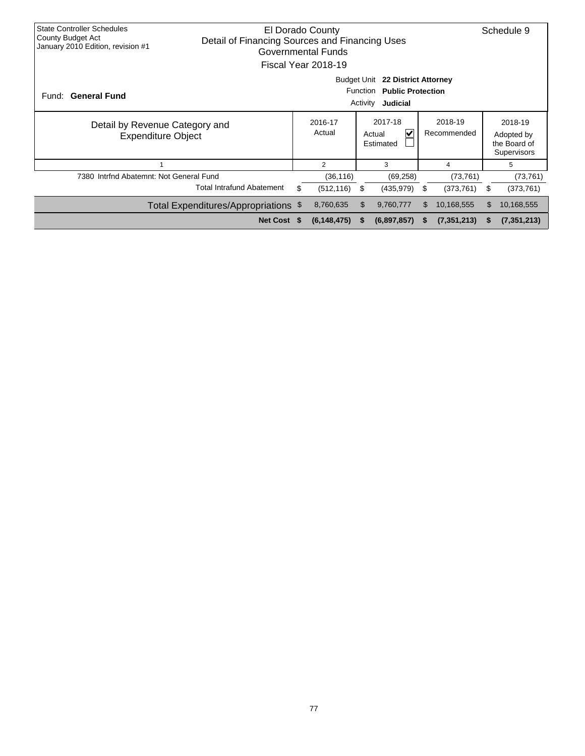| <b>State Controller Schedules</b><br>County Budget Act<br>January 2010 Edition, revision #1 | Detail of Financing Sources and Financing Uses |                                                                                                            | El Dorado County<br>Governmental Funds<br>Fiscal Year 2018-19 |            |                                     |                        |             |                                                      | Schedule 9  |  |
|---------------------------------------------------------------------------------------------|------------------------------------------------|------------------------------------------------------------------------------------------------------------|---------------------------------------------------------------|------------|-------------------------------------|------------------------|-------------|------------------------------------------------------|-------------|--|
| Fund: General Fund                                                                          |                                                | <b>Budget Unit</b><br>22 District Attorney<br>Function<br><b>Public Protection</b><br>Activity<br>Judicial |                                                               |            |                                     |                        |             |                                                      |             |  |
| Detail by Revenue Category and<br><b>Expenditure Object</b>                                 |                                                |                                                                                                            | 2016-17<br>Actual                                             |            | 2017-18<br>V<br>Actual<br>Estimated | 2018-19<br>Recommended |             | 2018-19<br>Adopted by<br>the Board of<br>Supervisors |             |  |
|                                                                                             |                                                |                                                                                                            | $\overline{2}$                                                |            | 3                                   |                        | 4           |                                                      | 5           |  |
| 7380 Intrfnd Abatemnt: Not General Fund                                                     |                                                |                                                                                                            | (36, 116)                                                     |            | (69, 258)                           |                        | (73, 761)   |                                                      | (73, 761)   |  |
|                                                                                             | <b>Total Intrafund Abatement</b>               | \$                                                                                                         | (512, 116)                                                    | \$         | (435,979)                           | \$.                    | (373, 761)  | \$                                                   | (373, 761)  |  |
|                                                                                             | Total Expenditures/Appropriations \$           |                                                                                                            | 8,760,635                                                     | 10,168,555 | \$                                  | 10,168,555             |             |                                                      |             |  |
|                                                                                             | Net Cost \$                                    |                                                                                                            | (6, 148, 475)                                                 | <b>S</b>   | (6,897,857)                         | S                      | (7,351,213) | S                                                    | (7,351,213) |  |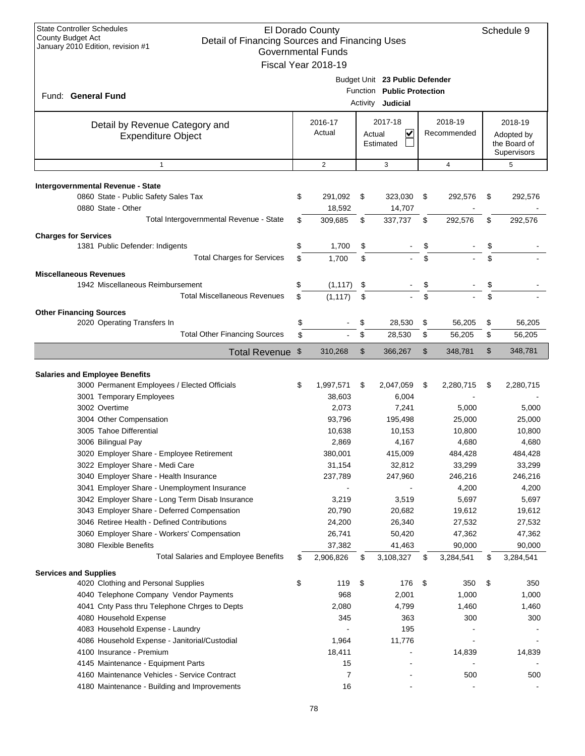| <b>State Controller Schedules</b><br>El Dorado County<br><b>County Budget Act</b><br>Detail of Financing Sources and Financing Uses<br>January 2010 Edition, revision #1<br><b>Governmental Funds</b><br>Fiscal Year 2018-19 |          |                      | Schedule 9 |                                                                                   |          |                        |          |                                                      |
|------------------------------------------------------------------------------------------------------------------------------------------------------------------------------------------------------------------------------|----------|----------------------|------------|-----------------------------------------------------------------------------------|----------|------------------------|----------|------------------------------------------------------|
| Fund: General Fund                                                                                                                                                                                                           |          |                      |            | Budget Unit 23 Public Defender<br>Function Public Protection<br>Activity Judicial |          |                        |          |                                                      |
| Detail by Revenue Category and<br><b>Expenditure Object</b>                                                                                                                                                                  |          | 2016-17<br>Actual    | Actual     | 2017-18<br>$\checkmark$<br>Estimated                                              |          | 2018-19<br>Recommended |          | 2018-19<br>Adopted by<br>the Board of<br>Supervisors |
| $\mathbf{1}$                                                                                                                                                                                                                 |          | $\overline{2}$       |            | 3                                                                                 |          | $\overline{4}$         |          | 5                                                    |
| Intergovernmental Revenue - State<br>0860 State - Public Safety Sales Tax<br>0880 State - Other                                                                                                                              | \$       | 291,092<br>18,592    | \$         | 323,030<br>14,707                                                                 | \$       | 292,576                | \$       | 292,576                                              |
| Total Intergovernmental Revenue - State                                                                                                                                                                                      | \$       | 309,685              | \$         | 337,737                                                                           | \$       | 292,576                | \$       | 292,576                                              |
| <b>Charges for Services</b><br>1381 Public Defender: Indigents<br><b>Total Charges for Services</b>                                                                                                                          | \$<br>\$ | 1,700<br>1,700       | \$<br>\$   |                                                                                   | \$       |                        | \$<br>\$ |                                                      |
| <b>Miscellaneous Revenues</b>                                                                                                                                                                                                |          |                      |            |                                                                                   |          |                        |          |                                                      |
| 1942 Miscellaneous Reimbursement<br><b>Total Miscellaneous Revenues</b>                                                                                                                                                      | \$<br>\$ | (1, 117)<br>(1, 117) | \$<br>\$   |                                                                                   | \$       |                        |          |                                                      |
| <b>Other Financing Sources</b>                                                                                                                                                                                               |          |                      |            |                                                                                   |          |                        |          |                                                      |
| 2020 Operating Transfers In<br><b>Total Other Financing Sources</b>                                                                                                                                                          | \$<br>\$ |                      | \$<br>\$   | 28,530<br>28,530                                                                  | \$<br>\$ | 56,205<br>56,205       | \$<br>\$ | 56,205<br>56,205                                     |
| <b>Total Revenue</b>                                                                                                                                                                                                         | \$       | 310,268              | \$         | 366,267                                                                           | \$       | 348,781                | \$       | 348,781                                              |
|                                                                                                                                                                                                                              |          |                      |            |                                                                                   |          |                        |          |                                                      |
| <b>Salaries and Employee Benefits</b>                                                                                                                                                                                        |          |                      |            |                                                                                   |          |                        |          |                                                      |
| 3000 Permanent Employees / Elected Officials<br>3001 Temporary Employees                                                                                                                                                     | \$       | 1,997,571<br>38,603  | \$         | 2,047,059<br>6,004                                                                | \$       | 2,280,715              | \$       | 2,280,715                                            |
| 3002 Overtime                                                                                                                                                                                                                |          | 2,073                |            | 7,241                                                                             |          | 5,000                  |          | 5,000                                                |
| 3004 Other Compensation                                                                                                                                                                                                      |          | 93,796               |            | 195,498                                                                           |          | 25,000                 |          | 25,000                                               |
| 3005 Tahoe Differential                                                                                                                                                                                                      |          | 10,638               |            | 10,153                                                                            |          | 10,800                 |          | 10,800                                               |
| 3006 Bilingual Pay                                                                                                                                                                                                           |          | 2,869                |            | 4,167                                                                             |          | 4,680                  |          | 4,680                                                |
| 3020 Employer Share - Employee Retirement                                                                                                                                                                                    |          | 380,001              |            | 415,009                                                                           |          | 484,428                |          | 484,428                                              |
| 3022 Employer Share - Medi Care                                                                                                                                                                                              |          | 31,154               |            | 32,812                                                                            |          | 33,299                 |          | 33,299                                               |
| 3040 Employer Share - Health Insurance                                                                                                                                                                                       |          | 237,789              |            | 247,960                                                                           |          | 246,216                |          | 246,216                                              |
| 3041 Employer Share - Unemployment Insurance                                                                                                                                                                                 |          |                      |            |                                                                                   |          | 4,200                  |          | 4,200                                                |
| 3042 Employer Share - Long Term Disab Insurance                                                                                                                                                                              |          | 3,219                |            | 3,519                                                                             |          | 5,697                  |          | 5,697                                                |
| 3043 Employer Share - Deferred Compensation<br>3046 Retiree Health - Defined Contributions                                                                                                                                   |          | 20,790<br>24,200     |            | 20,682<br>26,340                                                                  |          | 19,612<br>27,532       |          | 19,612<br>27,532                                     |
| 3060 Employer Share - Workers' Compensation                                                                                                                                                                                  |          | 26,741               |            | 50,420                                                                            |          | 47,362                 |          | 47,362                                               |
| 3080 Flexible Benefits                                                                                                                                                                                                       |          | 37,382               |            | 41,463                                                                            |          | 90,000                 |          | 90,000                                               |
| <b>Total Salaries and Employee Benefits</b>                                                                                                                                                                                  | \$       | 2,906,826            | \$         | 3,108,327                                                                         | \$       | 3,284,541              | \$       | 3,284,541                                            |
| <b>Services and Supplies</b>                                                                                                                                                                                                 |          |                      |            |                                                                                   |          |                        |          |                                                      |
| 4020 Clothing and Personal Supplies                                                                                                                                                                                          | \$       | 119                  | \$         | 176                                                                               | \$       | 350                    | \$       | 350                                                  |
| 4040 Telephone Company Vendor Payments                                                                                                                                                                                       |          | 968                  |            | 2,001                                                                             |          | 1,000                  |          | 1,000                                                |
| 4041 Cnty Pass thru Telephone Chrges to Depts                                                                                                                                                                                |          | 2,080                |            | 4,799                                                                             |          | 1,460                  |          | 1,460                                                |
| 4080 Household Expense                                                                                                                                                                                                       |          | 345                  |            | 363                                                                               |          | 300                    |          | 300                                                  |
| 4083 Household Expense - Laundry                                                                                                                                                                                             |          |                      |            | 195                                                                               |          |                        |          |                                                      |
| 4086 Household Expense - Janitorial/Custodial<br>4100 Insurance - Premium                                                                                                                                                    |          | 1,964<br>18,411      |            | 11,776                                                                            |          | 14,839                 |          | 14,839                                               |
| 4145 Maintenance - Equipment Parts                                                                                                                                                                                           |          | 15                   |            |                                                                                   |          |                        |          |                                                      |
| 4160 Maintenance Vehicles - Service Contract                                                                                                                                                                                 |          | 7                    |            |                                                                                   |          | 500                    |          | 500                                                  |
| 4180 Maintenance - Building and Improvements                                                                                                                                                                                 |          | 16                   |            |                                                                                   |          |                        |          |                                                      |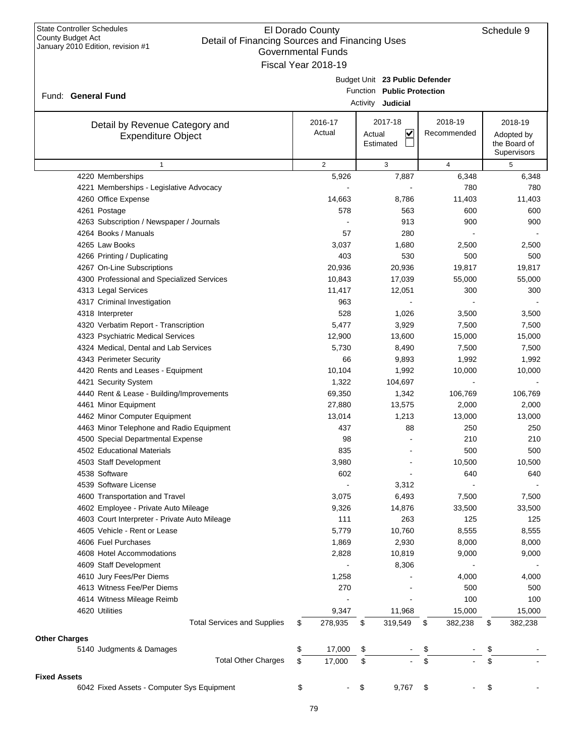| Fiscal Year 2018-19<br>Budget Unit 23 Public Defender<br>Function Public Protection<br>Fund: General Fund<br>Activity <b>Judicial</b><br>2018-19<br>2017-18<br>2018-19<br>2016-17<br>Detail by Revenue Category and<br>$\overline{\mathbf{v}}$<br>Actual<br>Recommended<br>Actual<br>Adopted by<br><b>Expenditure Object</b><br>the Board of<br>Estimated<br>Supervisors<br>$\overline{2}$<br>3<br>$\overline{4}$<br>5<br>$\mathbf{1}$<br>4220 Memberships<br>5,926<br>7,887<br>6,348<br>780<br>4221 Memberships - Legislative Advocacy<br>4260 Office Expense<br>14,663<br>8,786<br>11,403<br>578<br>600<br>4261 Postage<br>563<br>900<br>4263 Subscription / Newspaper / Journals<br>913<br>4264 Books / Manuals<br>57<br>280<br>4265 Law Books<br>3,037<br>1,680<br>2,500<br>4266 Printing / Duplicating<br>403<br>530<br>500<br>4267 On-Line Subscriptions<br>20,936<br>20,936<br>19,817<br>4300 Professional and Specialized Services<br>10,843<br>17,039<br>55,000<br>11,417<br>300<br>4313 Legal Services<br>12,051<br>963<br>4317 Criminal Investigation<br>528<br>4318 Interpreter<br>1,026<br>3,500<br>4320 Verbatim Report - Transcription<br>5,477<br>3,929<br>7,500<br>4323 Psychiatric Medical Services<br>12,900<br>13,600<br>15,000<br>4324 Medical, Dental and Lab Services<br>5,730<br>8,490<br>7,500<br>66<br>4343 Perimeter Security<br>9,893<br>1,992<br>4420 Rents and Leases - Equipment<br>10,104<br>1,992<br>10,000<br>1,322<br>4421 Security System<br>104,697<br>4440 Rent & Lease - Building/Improvements<br>69,350<br>1,342<br>106,769<br>27,880<br>4461 Minor Equipment<br>13,575<br>2,000<br>4462 Minor Computer Equipment<br>13,014<br>1,213<br>13,000<br>4463 Minor Telephone and Radio Equipment<br>437<br>88<br>250<br>4500 Special Departmental Expense<br>98<br>210<br>4502 Educational Materials<br>835<br>500<br>4503 Staff Development<br>3,980<br>10,500<br>4538 Software<br>602<br>640<br>4539 Software License<br>3,312<br>4600 Transportation and Travel<br>3,075<br>6,493<br>7,500<br>4602 Employee - Private Auto Mileage<br>9,326<br>14,876<br>33,500<br>111<br>263<br>125<br>4603 Court Interpreter - Private Auto Mileage<br>4605 Vehicle - Rent or Lease<br>5,779<br>10,760<br>8,555<br>4606 Fuel Purchases<br>1,869<br>2,930<br>8,000<br>8,000<br>4608 Hotel Accommodations<br>2,828<br>10,819<br>9,000<br>4609 Staff Development<br>8,306<br>4610 Jury Fees/Per Diems<br>1,258<br>4,000<br>4613 Witness Fee/Per Diems<br>270<br>500<br>4614 Witness Mileage Reimb<br>100<br>100<br>9,347<br>11,968<br>4620 Utilities<br>15,000<br>15,000<br><b>Total Services and Supplies</b><br>278,935<br>\$<br>319,549<br>382,238<br>382,238<br>\$<br>\$<br>\$<br><b>Other Charges</b><br>\$<br>17,000<br>\$<br>5140 Judgments & Damages<br>\$<br>\$<br><b>Total Other Charges</b><br>\$<br>\$<br>\$<br>17,000<br>\$<br><b>Fixed Assets</b><br>6042 Fixed Assets - Computer Sys Equipment<br>\$<br>\$<br>9,767<br>\$<br>\$ | Governmental Funds |  |  |  |         |
|--------------------------------------------------------------------------------------------------------------------------------------------------------------------------------------------------------------------------------------------------------------------------------------------------------------------------------------------------------------------------------------------------------------------------------------------------------------------------------------------------------------------------------------------------------------------------------------------------------------------------------------------------------------------------------------------------------------------------------------------------------------------------------------------------------------------------------------------------------------------------------------------------------------------------------------------------------------------------------------------------------------------------------------------------------------------------------------------------------------------------------------------------------------------------------------------------------------------------------------------------------------------------------------------------------------------------------------------------------------------------------------------------------------------------------------------------------------------------------------------------------------------------------------------------------------------------------------------------------------------------------------------------------------------------------------------------------------------------------------------------------------------------------------------------------------------------------------------------------------------------------------------------------------------------------------------------------------------------------------------------------------------------------------------------------------------------------------------------------------------------------------------------------------------------------------------------------------------------------------------------------------------------------------------------------------------------------------------------------------------------------------------------------------------------------------------------------------------------------------------------------------------------------------------------------------------------------------------------------------------------------------------------------------------------------------------------------------------------------------------------------------------------------------------------------------------------------------------------------------------------------------------------------------------------------------------------------------------|--------------------|--|--|--|---------|
|                                                                                                                                                                                                                                                                                                                                                                                                                                                                                                                                                                                                                                                                                                                                                                                                                                                                                                                                                                                                                                                                                                                                                                                                                                                                                                                                                                                                                                                                                                                                                                                                                                                                                                                                                                                                                                                                                                                                                                                                                                                                                                                                                                                                                                                                                                                                                                                                                                                                                                                                                                                                                                                                                                                                                                                                                                                                                                                                                                    |                    |  |  |  |         |
|                                                                                                                                                                                                                                                                                                                                                                                                                                                                                                                                                                                                                                                                                                                                                                                                                                                                                                                                                                                                                                                                                                                                                                                                                                                                                                                                                                                                                                                                                                                                                                                                                                                                                                                                                                                                                                                                                                                                                                                                                                                                                                                                                                                                                                                                                                                                                                                                                                                                                                                                                                                                                                                                                                                                                                                                                                                                                                                                                                    |                    |  |  |  |         |
|                                                                                                                                                                                                                                                                                                                                                                                                                                                                                                                                                                                                                                                                                                                                                                                                                                                                                                                                                                                                                                                                                                                                                                                                                                                                                                                                                                                                                                                                                                                                                                                                                                                                                                                                                                                                                                                                                                                                                                                                                                                                                                                                                                                                                                                                                                                                                                                                                                                                                                                                                                                                                                                                                                                                                                                                                                                                                                                                                                    |                    |  |  |  |         |
|                                                                                                                                                                                                                                                                                                                                                                                                                                                                                                                                                                                                                                                                                                                                                                                                                                                                                                                                                                                                                                                                                                                                                                                                                                                                                                                                                                                                                                                                                                                                                                                                                                                                                                                                                                                                                                                                                                                                                                                                                                                                                                                                                                                                                                                                                                                                                                                                                                                                                                                                                                                                                                                                                                                                                                                                                                                                                                                                                                    |                    |  |  |  |         |
|                                                                                                                                                                                                                                                                                                                                                                                                                                                                                                                                                                                                                                                                                                                                                                                                                                                                                                                                                                                                                                                                                                                                                                                                                                                                                                                                                                                                                                                                                                                                                                                                                                                                                                                                                                                                                                                                                                                                                                                                                                                                                                                                                                                                                                                                                                                                                                                                                                                                                                                                                                                                                                                                                                                                                                                                                                                                                                                                                                    |                    |  |  |  |         |
|                                                                                                                                                                                                                                                                                                                                                                                                                                                                                                                                                                                                                                                                                                                                                                                                                                                                                                                                                                                                                                                                                                                                                                                                                                                                                                                                                                                                                                                                                                                                                                                                                                                                                                                                                                                                                                                                                                                                                                                                                                                                                                                                                                                                                                                                                                                                                                                                                                                                                                                                                                                                                                                                                                                                                                                                                                                                                                                                                                    |                    |  |  |  |         |
|                                                                                                                                                                                                                                                                                                                                                                                                                                                                                                                                                                                                                                                                                                                                                                                                                                                                                                                                                                                                                                                                                                                                                                                                                                                                                                                                                                                                                                                                                                                                                                                                                                                                                                                                                                                                                                                                                                                                                                                                                                                                                                                                                                                                                                                                                                                                                                                                                                                                                                                                                                                                                                                                                                                                                                                                                                                                                                                                                                    |                    |  |  |  |         |
|                                                                                                                                                                                                                                                                                                                                                                                                                                                                                                                                                                                                                                                                                                                                                                                                                                                                                                                                                                                                                                                                                                                                                                                                                                                                                                                                                                                                                                                                                                                                                                                                                                                                                                                                                                                                                                                                                                                                                                                                                                                                                                                                                                                                                                                                                                                                                                                                                                                                                                                                                                                                                                                                                                                                                                                                                                                                                                                                                                    |                    |  |  |  |         |
|                                                                                                                                                                                                                                                                                                                                                                                                                                                                                                                                                                                                                                                                                                                                                                                                                                                                                                                                                                                                                                                                                                                                                                                                                                                                                                                                                                                                                                                                                                                                                                                                                                                                                                                                                                                                                                                                                                                                                                                                                                                                                                                                                                                                                                                                                                                                                                                                                                                                                                                                                                                                                                                                                                                                                                                                                                                                                                                                                                    |                    |  |  |  | 6,348   |
|                                                                                                                                                                                                                                                                                                                                                                                                                                                                                                                                                                                                                                                                                                                                                                                                                                                                                                                                                                                                                                                                                                                                                                                                                                                                                                                                                                                                                                                                                                                                                                                                                                                                                                                                                                                                                                                                                                                                                                                                                                                                                                                                                                                                                                                                                                                                                                                                                                                                                                                                                                                                                                                                                                                                                                                                                                                                                                                                                                    |                    |  |  |  | 780     |
|                                                                                                                                                                                                                                                                                                                                                                                                                                                                                                                                                                                                                                                                                                                                                                                                                                                                                                                                                                                                                                                                                                                                                                                                                                                                                                                                                                                                                                                                                                                                                                                                                                                                                                                                                                                                                                                                                                                                                                                                                                                                                                                                                                                                                                                                                                                                                                                                                                                                                                                                                                                                                                                                                                                                                                                                                                                                                                                                                                    |                    |  |  |  | 11,403  |
|                                                                                                                                                                                                                                                                                                                                                                                                                                                                                                                                                                                                                                                                                                                                                                                                                                                                                                                                                                                                                                                                                                                                                                                                                                                                                                                                                                                                                                                                                                                                                                                                                                                                                                                                                                                                                                                                                                                                                                                                                                                                                                                                                                                                                                                                                                                                                                                                                                                                                                                                                                                                                                                                                                                                                                                                                                                                                                                                                                    |                    |  |  |  | 600     |
|                                                                                                                                                                                                                                                                                                                                                                                                                                                                                                                                                                                                                                                                                                                                                                                                                                                                                                                                                                                                                                                                                                                                                                                                                                                                                                                                                                                                                                                                                                                                                                                                                                                                                                                                                                                                                                                                                                                                                                                                                                                                                                                                                                                                                                                                                                                                                                                                                                                                                                                                                                                                                                                                                                                                                                                                                                                                                                                                                                    |                    |  |  |  | 900     |
|                                                                                                                                                                                                                                                                                                                                                                                                                                                                                                                                                                                                                                                                                                                                                                                                                                                                                                                                                                                                                                                                                                                                                                                                                                                                                                                                                                                                                                                                                                                                                                                                                                                                                                                                                                                                                                                                                                                                                                                                                                                                                                                                                                                                                                                                                                                                                                                                                                                                                                                                                                                                                                                                                                                                                                                                                                                                                                                                                                    |                    |  |  |  |         |
|                                                                                                                                                                                                                                                                                                                                                                                                                                                                                                                                                                                                                                                                                                                                                                                                                                                                                                                                                                                                                                                                                                                                                                                                                                                                                                                                                                                                                                                                                                                                                                                                                                                                                                                                                                                                                                                                                                                                                                                                                                                                                                                                                                                                                                                                                                                                                                                                                                                                                                                                                                                                                                                                                                                                                                                                                                                                                                                                                                    |                    |  |  |  | 2,500   |
|                                                                                                                                                                                                                                                                                                                                                                                                                                                                                                                                                                                                                                                                                                                                                                                                                                                                                                                                                                                                                                                                                                                                                                                                                                                                                                                                                                                                                                                                                                                                                                                                                                                                                                                                                                                                                                                                                                                                                                                                                                                                                                                                                                                                                                                                                                                                                                                                                                                                                                                                                                                                                                                                                                                                                                                                                                                                                                                                                                    |                    |  |  |  | 500     |
|                                                                                                                                                                                                                                                                                                                                                                                                                                                                                                                                                                                                                                                                                                                                                                                                                                                                                                                                                                                                                                                                                                                                                                                                                                                                                                                                                                                                                                                                                                                                                                                                                                                                                                                                                                                                                                                                                                                                                                                                                                                                                                                                                                                                                                                                                                                                                                                                                                                                                                                                                                                                                                                                                                                                                                                                                                                                                                                                                                    |                    |  |  |  | 19,817  |
|                                                                                                                                                                                                                                                                                                                                                                                                                                                                                                                                                                                                                                                                                                                                                                                                                                                                                                                                                                                                                                                                                                                                                                                                                                                                                                                                                                                                                                                                                                                                                                                                                                                                                                                                                                                                                                                                                                                                                                                                                                                                                                                                                                                                                                                                                                                                                                                                                                                                                                                                                                                                                                                                                                                                                                                                                                                                                                                                                                    |                    |  |  |  | 55,000  |
|                                                                                                                                                                                                                                                                                                                                                                                                                                                                                                                                                                                                                                                                                                                                                                                                                                                                                                                                                                                                                                                                                                                                                                                                                                                                                                                                                                                                                                                                                                                                                                                                                                                                                                                                                                                                                                                                                                                                                                                                                                                                                                                                                                                                                                                                                                                                                                                                                                                                                                                                                                                                                                                                                                                                                                                                                                                                                                                                                                    |                    |  |  |  | 300     |
|                                                                                                                                                                                                                                                                                                                                                                                                                                                                                                                                                                                                                                                                                                                                                                                                                                                                                                                                                                                                                                                                                                                                                                                                                                                                                                                                                                                                                                                                                                                                                                                                                                                                                                                                                                                                                                                                                                                                                                                                                                                                                                                                                                                                                                                                                                                                                                                                                                                                                                                                                                                                                                                                                                                                                                                                                                                                                                                                                                    |                    |  |  |  |         |
|                                                                                                                                                                                                                                                                                                                                                                                                                                                                                                                                                                                                                                                                                                                                                                                                                                                                                                                                                                                                                                                                                                                                                                                                                                                                                                                                                                                                                                                                                                                                                                                                                                                                                                                                                                                                                                                                                                                                                                                                                                                                                                                                                                                                                                                                                                                                                                                                                                                                                                                                                                                                                                                                                                                                                                                                                                                                                                                                                                    |                    |  |  |  | 3,500   |
|                                                                                                                                                                                                                                                                                                                                                                                                                                                                                                                                                                                                                                                                                                                                                                                                                                                                                                                                                                                                                                                                                                                                                                                                                                                                                                                                                                                                                                                                                                                                                                                                                                                                                                                                                                                                                                                                                                                                                                                                                                                                                                                                                                                                                                                                                                                                                                                                                                                                                                                                                                                                                                                                                                                                                                                                                                                                                                                                                                    |                    |  |  |  | 7,500   |
|                                                                                                                                                                                                                                                                                                                                                                                                                                                                                                                                                                                                                                                                                                                                                                                                                                                                                                                                                                                                                                                                                                                                                                                                                                                                                                                                                                                                                                                                                                                                                                                                                                                                                                                                                                                                                                                                                                                                                                                                                                                                                                                                                                                                                                                                                                                                                                                                                                                                                                                                                                                                                                                                                                                                                                                                                                                                                                                                                                    |                    |  |  |  | 15,000  |
|                                                                                                                                                                                                                                                                                                                                                                                                                                                                                                                                                                                                                                                                                                                                                                                                                                                                                                                                                                                                                                                                                                                                                                                                                                                                                                                                                                                                                                                                                                                                                                                                                                                                                                                                                                                                                                                                                                                                                                                                                                                                                                                                                                                                                                                                                                                                                                                                                                                                                                                                                                                                                                                                                                                                                                                                                                                                                                                                                                    |                    |  |  |  | 7,500   |
|                                                                                                                                                                                                                                                                                                                                                                                                                                                                                                                                                                                                                                                                                                                                                                                                                                                                                                                                                                                                                                                                                                                                                                                                                                                                                                                                                                                                                                                                                                                                                                                                                                                                                                                                                                                                                                                                                                                                                                                                                                                                                                                                                                                                                                                                                                                                                                                                                                                                                                                                                                                                                                                                                                                                                                                                                                                                                                                                                                    |                    |  |  |  | 1,992   |
|                                                                                                                                                                                                                                                                                                                                                                                                                                                                                                                                                                                                                                                                                                                                                                                                                                                                                                                                                                                                                                                                                                                                                                                                                                                                                                                                                                                                                                                                                                                                                                                                                                                                                                                                                                                                                                                                                                                                                                                                                                                                                                                                                                                                                                                                                                                                                                                                                                                                                                                                                                                                                                                                                                                                                                                                                                                                                                                                                                    |                    |  |  |  | 10,000  |
|                                                                                                                                                                                                                                                                                                                                                                                                                                                                                                                                                                                                                                                                                                                                                                                                                                                                                                                                                                                                                                                                                                                                                                                                                                                                                                                                                                                                                                                                                                                                                                                                                                                                                                                                                                                                                                                                                                                                                                                                                                                                                                                                                                                                                                                                                                                                                                                                                                                                                                                                                                                                                                                                                                                                                                                                                                                                                                                                                                    |                    |  |  |  |         |
|                                                                                                                                                                                                                                                                                                                                                                                                                                                                                                                                                                                                                                                                                                                                                                                                                                                                                                                                                                                                                                                                                                                                                                                                                                                                                                                                                                                                                                                                                                                                                                                                                                                                                                                                                                                                                                                                                                                                                                                                                                                                                                                                                                                                                                                                                                                                                                                                                                                                                                                                                                                                                                                                                                                                                                                                                                                                                                                                                                    |                    |  |  |  | 106,769 |
|                                                                                                                                                                                                                                                                                                                                                                                                                                                                                                                                                                                                                                                                                                                                                                                                                                                                                                                                                                                                                                                                                                                                                                                                                                                                                                                                                                                                                                                                                                                                                                                                                                                                                                                                                                                                                                                                                                                                                                                                                                                                                                                                                                                                                                                                                                                                                                                                                                                                                                                                                                                                                                                                                                                                                                                                                                                                                                                                                                    |                    |  |  |  | 2,000   |
|                                                                                                                                                                                                                                                                                                                                                                                                                                                                                                                                                                                                                                                                                                                                                                                                                                                                                                                                                                                                                                                                                                                                                                                                                                                                                                                                                                                                                                                                                                                                                                                                                                                                                                                                                                                                                                                                                                                                                                                                                                                                                                                                                                                                                                                                                                                                                                                                                                                                                                                                                                                                                                                                                                                                                                                                                                                                                                                                                                    |                    |  |  |  | 13,000  |
|                                                                                                                                                                                                                                                                                                                                                                                                                                                                                                                                                                                                                                                                                                                                                                                                                                                                                                                                                                                                                                                                                                                                                                                                                                                                                                                                                                                                                                                                                                                                                                                                                                                                                                                                                                                                                                                                                                                                                                                                                                                                                                                                                                                                                                                                                                                                                                                                                                                                                                                                                                                                                                                                                                                                                                                                                                                                                                                                                                    |                    |  |  |  | 250     |
|                                                                                                                                                                                                                                                                                                                                                                                                                                                                                                                                                                                                                                                                                                                                                                                                                                                                                                                                                                                                                                                                                                                                                                                                                                                                                                                                                                                                                                                                                                                                                                                                                                                                                                                                                                                                                                                                                                                                                                                                                                                                                                                                                                                                                                                                                                                                                                                                                                                                                                                                                                                                                                                                                                                                                                                                                                                                                                                                                                    |                    |  |  |  | 210     |
|                                                                                                                                                                                                                                                                                                                                                                                                                                                                                                                                                                                                                                                                                                                                                                                                                                                                                                                                                                                                                                                                                                                                                                                                                                                                                                                                                                                                                                                                                                                                                                                                                                                                                                                                                                                                                                                                                                                                                                                                                                                                                                                                                                                                                                                                                                                                                                                                                                                                                                                                                                                                                                                                                                                                                                                                                                                                                                                                                                    |                    |  |  |  | 500     |
|                                                                                                                                                                                                                                                                                                                                                                                                                                                                                                                                                                                                                                                                                                                                                                                                                                                                                                                                                                                                                                                                                                                                                                                                                                                                                                                                                                                                                                                                                                                                                                                                                                                                                                                                                                                                                                                                                                                                                                                                                                                                                                                                                                                                                                                                                                                                                                                                                                                                                                                                                                                                                                                                                                                                                                                                                                                                                                                                                                    |                    |  |  |  | 10,500  |
|                                                                                                                                                                                                                                                                                                                                                                                                                                                                                                                                                                                                                                                                                                                                                                                                                                                                                                                                                                                                                                                                                                                                                                                                                                                                                                                                                                                                                                                                                                                                                                                                                                                                                                                                                                                                                                                                                                                                                                                                                                                                                                                                                                                                                                                                                                                                                                                                                                                                                                                                                                                                                                                                                                                                                                                                                                                                                                                                                                    |                    |  |  |  | 640     |
|                                                                                                                                                                                                                                                                                                                                                                                                                                                                                                                                                                                                                                                                                                                                                                                                                                                                                                                                                                                                                                                                                                                                                                                                                                                                                                                                                                                                                                                                                                                                                                                                                                                                                                                                                                                                                                                                                                                                                                                                                                                                                                                                                                                                                                                                                                                                                                                                                                                                                                                                                                                                                                                                                                                                                                                                                                                                                                                                                                    |                    |  |  |  |         |
|                                                                                                                                                                                                                                                                                                                                                                                                                                                                                                                                                                                                                                                                                                                                                                                                                                                                                                                                                                                                                                                                                                                                                                                                                                                                                                                                                                                                                                                                                                                                                                                                                                                                                                                                                                                                                                                                                                                                                                                                                                                                                                                                                                                                                                                                                                                                                                                                                                                                                                                                                                                                                                                                                                                                                                                                                                                                                                                                                                    |                    |  |  |  | 7,500   |
|                                                                                                                                                                                                                                                                                                                                                                                                                                                                                                                                                                                                                                                                                                                                                                                                                                                                                                                                                                                                                                                                                                                                                                                                                                                                                                                                                                                                                                                                                                                                                                                                                                                                                                                                                                                                                                                                                                                                                                                                                                                                                                                                                                                                                                                                                                                                                                                                                                                                                                                                                                                                                                                                                                                                                                                                                                                                                                                                                                    |                    |  |  |  | 33,500  |
|                                                                                                                                                                                                                                                                                                                                                                                                                                                                                                                                                                                                                                                                                                                                                                                                                                                                                                                                                                                                                                                                                                                                                                                                                                                                                                                                                                                                                                                                                                                                                                                                                                                                                                                                                                                                                                                                                                                                                                                                                                                                                                                                                                                                                                                                                                                                                                                                                                                                                                                                                                                                                                                                                                                                                                                                                                                                                                                                                                    |                    |  |  |  | 125     |
|                                                                                                                                                                                                                                                                                                                                                                                                                                                                                                                                                                                                                                                                                                                                                                                                                                                                                                                                                                                                                                                                                                                                                                                                                                                                                                                                                                                                                                                                                                                                                                                                                                                                                                                                                                                                                                                                                                                                                                                                                                                                                                                                                                                                                                                                                                                                                                                                                                                                                                                                                                                                                                                                                                                                                                                                                                                                                                                                                                    |                    |  |  |  | 8,555   |
|                                                                                                                                                                                                                                                                                                                                                                                                                                                                                                                                                                                                                                                                                                                                                                                                                                                                                                                                                                                                                                                                                                                                                                                                                                                                                                                                                                                                                                                                                                                                                                                                                                                                                                                                                                                                                                                                                                                                                                                                                                                                                                                                                                                                                                                                                                                                                                                                                                                                                                                                                                                                                                                                                                                                                                                                                                                                                                                                                                    |                    |  |  |  |         |
|                                                                                                                                                                                                                                                                                                                                                                                                                                                                                                                                                                                                                                                                                                                                                                                                                                                                                                                                                                                                                                                                                                                                                                                                                                                                                                                                                                                                                                                                                                                                                                                                                                                                                                                                                                                                                                                                                                                                                                                                                                                                                                                                                                                                                                                                                                                                                                                                                                                                                                                                                                                                                                                                                                                                                                                                                                                                                                                                                                    |                    |  |  |  | 9,000   |
|                                                                                                                                                                                                                                                                                                                                                                                                                                                                                                                                                                                                                                                                                                                                                                                                                                                                                                                                                                                                                                                                                                                                                                                                                                                                                                                                                                                                                                                                                                                                                                                                                                                                                                                                                                                                                                                                                                                                                                                                                                                                                                                                                                                                                                                                                                                                                                                                                                                                                                                                                                                                                                                                                                                                                                                                                                                                                                                                                                    |                    |  |  |  |         |
|                                                                                                                                                                                                                                                                                                                                                                                                                                                                                                                                                                                                                                                                                                                                                                                                                                                                                                                                                                                                                                                                                                                                                                                                                                                                                                                                                                                                                                                                                                                                                                                                                                                                                                                                                                                                                                                                                                                                                                                                                                                                                                                                                                                                                                                                                                                                                                                                                                                                                                                                                                                                                                                                                                                                                                                                                                                                                                                                                                    |                    |  |  |  | 4,000   |
|                                                                                                                                                                                                                                                                                                                                                                                                                                                                                                                                                                                                                                                                                                                                                                                                                                                                                                                                                                                                                                                                                                                                                                                                                                                                                                                                                                                                                                                                                                                                                                                                                                                                                                                                                                                                                                                                                                                                                                                                                                                                                                                                                                                                                                                                                                                                                                                                                                                                                                                                                                                                                                                                                                                                                                                                                                                                                                                                                                    |                    |  |  |  | 500     |
|                                                                                                                                                                                                                                                                                                                                                                                                                                                                                                                                                                                                                                                                                                                                                                                                                                                                                                                                                                                                                                                                                                                                                                                                                                                                                                                                                                                                                                                                                                                                                                                                                                                                                                                                                                                                                                                                                                                                                                                                                                                                                                                                                                                                                                                                                                                                                                                                                                                                                                                                                                                                                                                                                                                                                                                                                                                                                                                                                                    |                    |  |  |  |         |
|                                                                                                                                                                                                                                                                                                                                                                                                                                                                                                                                                                                                                                                                                                                                                                                                                                                                                                                                                                                                                                                                                                                                                                                                                                                                                                                                                                                                                                                                                                                                                                                                                                                                                                                                                                                                                                                                                                                                                                                                                                                                                                                                                                                                                                                                                                                                                                                                                                                                                                                                                                                                                                                                                                                                                                                                                                                                                                                                                                    |                    |  |  |  |         |
|                                                                                                                                                                                                                                                                                                                                                                                                                                                                                                                                                                                                                                                                                                                                                                                                                                                                                                                                                                                                                                                                                                                                                                                                                                                                                                                                                                                                                                                                                                                                                                                                                                                                                                                                                                                                                                                                                                                                                                                                                                                                                                                                                                                                                                                                                                                                                                                                                                                                                                                                                                                                                                                                                                                                                                                                                                                                                                                                                                    |                    |  |  |  |         |
|                                                                                                                                                                                                                                                                                                                                                                                                                                                                                                                                                                                                                                                                                                                                                                                                                                                                                                                                                                                                                                                                                                                                                                                                                                                                                                                                                                                                                                                                                                                                                                                                                                                                                                                                                                                                                                                                                                                                                                                                                                                                                                                                                                                                                                                                                                                                                                                                                                                                                                                                                                                                                                                                                                                                                                                                                                                                                                                                                                    |                    |  |  |  |         |
|                                                                                                                                                                                                                                                                                                                                                                                                                                                                                                                                                                                                                                                                                                                                                                                                                                                                                                                                                                                                                                                                                                                                                                                                                                                                                                                                                                                                                                                                                                                                                                                                                                                                                                                                                                                                                                                                                                                                                                                                                                                                                                                                                                                                                                                                                                                                                                                                                                                                                                                                                                                                                                                                                                                                                                                                                                                                                                                                                                    |                    |  |  |  |         |
|                                                                                                                                                                                                                                                                                                                                                                                                                                                                                                                                                                                                                                                                                                                                                                                                                                                                                                                                                                                                                                                                                                                                                                                                                                                                                                                                                                                                                                                                                                                                                                                                                                                                                                                                                                                                                                                                                                                                                                                                                                                                                                                                                                                                                                                                                                                                                                                                                                                                                                                                                                                                                                                                                                                                                                                                                                                                                                                                                                    |                    |  |  |  |         |
|                                                                                                                                                                                                                                                                                                                                                                                                                                                                                                                                                                                                                                                                                                                                                                                                                                                                                                                                                                                                                                                                                                                                                                                                                                                                                                                                                                                                                                                                                                                                                                                                                                                                                                                                                                                                                                                                                                                                                                                                                                                                                                                                                                                                                                                                                                                                                                                                                                                                                                                                                                                                                                                                                                                                                                                                                                                                                                                                                                    |                    |  |  |  |         |
|                                                                                                                                                                                                                                                                                                                                                                                                                                                                                                                                                                                                                                                                                                                                                                                                                                                                                                                                                                                                                                                                                                                                                                                                                                                                                                                                                                                                                                                                                                                                                                                                                                                                                                                                                                                                                                                                                                                                                                                                                                                                                                                                                                                                                                                                                                                                                                                                                                                                                                                                                                                                                                                                                                                                                                                                                                                                                                                                                                    |                    |  |  |  |         |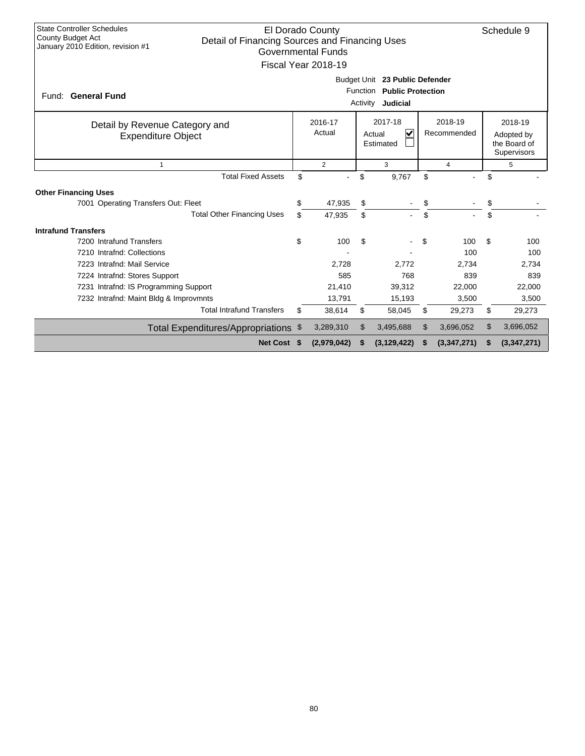| <b>State Controller Schedules</b><br>El Dorado County<br>Schedule 9<br><b>County Budget Act</b><br>Detail of Financing Sources and Financing Uses<br>January 2010 Edition, revision #1<br><b>Governmental Funds</b><br>Fiscal Year 2018-19 |                                                                                                                                                                  |             |    |               |    |             |    |             |  |  |
|--------------------------------------------------------------------------------------------------------------------------------------------------------------------------------------------------------------------------------------------|------------------------------------------------------------------------------------------------------------------------------------------------------------------|-------------|----|---------------|----|-------------|----|-------------|--|--|
| Budget Unit 23 Public Defender<br>Function Public Protection<br>Fund: General Fund<br>Judicial<br>Activity                                                                                                                                 |                                                                                                                                                                  |             |    |               |    |             |    |             |  |  |
| Detail by Revenue Category and<br><b>Expenditure Object</b>                                                                                                                                                                                | 2017-18<br>2018-19<br>2016-17<br>2018-19<br>$\overline{\mathsf{v}}$<br>Actual<br>Recommended<br>Actual<br>Adopted by<br>the Board of<br>Estimated<br>Supervisors |             |    |               |    |             |    |             |  |  |
| $\mathbf{1}$                                                                                                                                                                                                                               | 2<br>3<br>5<br>4                                                                                                                                                 |             |    |               |    |             |    |             |  |  |
| <b>Total Fixed Assets</b>                                                                                                                                                                                                                  | \$                                                                                                                                                               |             | \$ | 9,767         | \$ |             | \$ |             |  |  |
| <b>Other Financing Uses</b>                                                                                                                                                                                                                |                                                                                                                                                                  |             |    |               |    |             |    |             |  |  |
| 7001 Operating Transfers Out: Fleet                                                                                                                                                                                                        | \$                                                                                                                                                               | 47,935      | \$ |               | \$ |             | \$ |             |  |  |
| <b>Total Other Financing Uses</b>                                                                                                                                                                                                          | \$                                                                                                                                                               | 47,935      | \$ |               | \$ |             | \$ |             |  |  |
| <b>Intrafund Transfers</b>                                                                                                                                                                                                                 |                                                                                                                                                                  |             |    |               |    |             |    |             |  |  |
| 7200 Intrafund Transfers                                                                                                                                                                                                                   | \$                                                                                                                                                               | 100         | \$ |               | \$ | 100         | \$ | 100         |  |  |
| 7210 Intrafnd: Collections                                                                                                                                                                                                                 |                                                                                                                                                                  |             |    |               |    | 100         |    | 100         |  |  |
| 7223 Intrafnd: Mail Service                                                                                                                                                                                                                |                                                                                                                                                                  | 2,728       |    | 2,772         |    | 2,734       |    | 2,734       |  |  |
| 7224 Intrafnd: Stores Support                                                                                                                                                                                                              |                                                                                                                                                                  | 585         |    | 768           |    | 839         |    | 839         |  |  |
| 7231 Intrafnd: IS Programming Support                                                                                                                                                                                                      |                                                                                                                                                                  | 21,410      |    | 39,312        |    | 22,000      |    | 22,000      |  |  |
| 7232 Intrafnd: Maint Bldg & Improvmnts                                                                                                                                                                                                     |                                                                                                                                                                  | 13,791      |    | 15,193        |    | 3,500       |    | 3,500       |  |  |
| <b>Total Intrafund Transfers</b>                                                                                                                                                                                                           | \$                                                                                                                                                               | 38,614      | \$ | 58,045        | \$ | 29,273      | \$ | 29,273      |  |  |
| Total Expenditures/Appropriations \$                                                                                                                                                                                                       |                                                                                                                                                                  | 3,289,310   | \$ | 3,495,688     | \$ | 3,696,052   | \$ | 3,696,052   |  |  |
| Net Cost \$                                                                                                                                                                                                                                |                                                                                                                                                                  | (2,979,042) |    | (3, 129, 422) |    | (3,347,271) | \$ | (3,347,271) |  |  |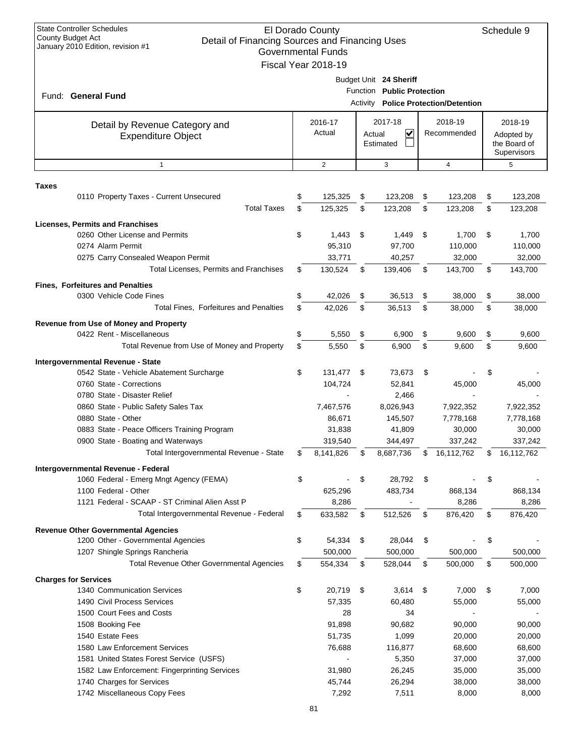| Budget Unit 24 Sheriff<br>Function Public Protection<br>Fund: General Fund<br>Activity Police Protection/Detention<br>2017-18<br>2018-19<br>2016-17<br>2018-19<br>Detail by Revenue Category and<br>Actual<br>V<br>Recommended<br>Actual<br>Adopted by<br><b>Expenditure Object</b><br>the Board of<br>Estimated<br>Supervisors<br>2<br>3<br>$\overline{4}$<br>5<br>$\mathbf{1}$<br>Taxes<br>125,325<br>0110 Property Taxes - Current Unsecured<br>\$<br>\$<br>123,208<br>\$<br>123,208<br>\$<br>123,208<br><b>Total Taxes</b><br>\$<br>125,325<br>123,208<br>\$<br>\$<br>\$<br>123,208<br>123,208<br><b>Licenses, Permits and Franchises</b><br>0260 Other License and Permits<br>\$<br>1,443<br>\$<br>1,449<br>\$<br>1,700<br>\$<br>1,700<br>95,310<br>0274 Alarm Permit<br>97,700<br>110,000<br>110,000<br>0275 Carry Consealed Weapon Permit<br>33,771<br>40,257<br>32,000<br>32,000<br><b>Total Licenses, Permits and Franchises</b><br>130,524<br>\$<br>\$<br>139,406<br>\$<br>143,700<br>\$<br>143,700<br><b>Fines, Forfeitures and Penalties</b><br>0300 Vehicle Code Fines<br>\$<br>42,026<br>\$<br>\$<br>\$<br>36,513<br>38,000<br>38,000<br>Total Fines, Forfeitures and Penalties<br>\$<br>42,026<br>\$<br>\$<br>\$<br>36,513<br>38,000<br>38,000<br>Revenue from Use of Money and Property<br>0422 Rent - Miscellaneous<br>\$<br>5,550<br>\$<br>\$<br>\$<br>6,900<br>9,600<br>9,600<br>Total Revenue from Use of Money and Property<br>\$<br>5,550<br>\$<br>\$<br>\$<br>6,900<br>9,600<br>9,600<br>Intergovernmental Revenue - State<br>\$<br>131,477<br>\$<br>0542 State - Vehicle Abatement Surcharge<br>\$<br>73,673<br>\$<br>0760 State - Corrections<br>104,724<br>52,841<br>45,000<br>45,000<br>0780 State - Disaster Relief<br>2,466<br>7,467,576<br>0860 State - Public Safety Sales Tax<br>8,026,943<br>7,922,352<br>7,922,352<br>0880 State - Other<br>86,671<br>145,507<br>7,778,168<br>7,778,168<br>0883 State - Peace Officers Training Program<br>31,838<br>41,809<br>30,000<br>30,000<br>337,242<br>0900 State - Boating and Waterways<br>319,540<br>344,497<br>337,242<br>Total Intergovernmental Revenue - State<br>\$<br>8,141,826<br>\$<br>8,687,736<br>\$<br>16,112,762<br>\$<br>16,112,762<br>Intergovernmental Revenue - Federal<br>\$<br>\$<br>\$<br>28,792<br>\$<br>1060 Federal - Emerg Mngt Agency (FEMA)<br>1100 Federal - Other<br>625,296<br>483,734<br>868,134<br>868,134<br>1121 Federal - SCAAP - ST Criminal Alien Asst P<br>8,286<br>8,286<br>8,286<br>Total Intergovernmental Revenue - Federal<br>633,582<br>\$<br>512,526<br>\$<br>876,420<br>\$<br>876,420<br>\$<br><b>Revenue Other Governmental Agencies</b><br>1200 Other - Governmental Agencies<br>\$<br>54,334<br>\$<br>28,044<br>\$<br>\$<br>1207 Shingle Springs Rancheria<br>500,000<br>500,000<br>500,000<br>500,000<br><b>Total Revenue Other Governmental Agencies</b><br>\$<br>554,334<br>\$<br>528,044<br>\$<br>500,000<br>\$<br>500,000<br><b>Charges for Services</b><br>\$<br>\$<br>\$<br>1340 Communication Services<br>20,719<br>3,614<br>\$<br>7,000<br>7,000<br>1490 Civil Process Services<br>57,335<br>60,480<br>55,000<br>55,000<br>1500 Court Fees and Costs<br>28<br>34<br>1508 Booking Fee<br>91,898<br>90,682<br>90,000<br>90,000<br>1540 Estate Fees<br>1,099<br>51,735<br>20,000<br>20,000<br>1580 Law Enforcement Services<br>116,877<br>76,688<br>68,600<br>68,600<br>1581 United States Forest Service (USFS)<br>5,350<br>37,000<br>37,000<br>26,245<br>1582 Law Enforcement: Fingerprinting Services<br>31,980<br>35,000<br>35,000<br>1740 Charges for Services<br>26,294<br>45,744<br>38,000<br>38,000<br>1742 Miscellaneous Copy Fees<br>7,292<br>7,511<br>8,000<br>8,000 | <b>State Controller Schedules</b><br>El Dorado County<br><b>County Budget Act</b><br>Detail of Financing Sources and Financing Uses<br>January 2010 Edition, revision #1<br><b>Governmental Funds</b><br>Fiscal Year 2018-19 |  |  |  |  |  |  |  |  |  |
|------------------------------------------------------------------------------------------------------------------------------------------------------------------------------------------------------------------------------------------------------------------------------------------------------------------------------------------------------------------------------------------------------------------------------------------------------------------------------------------------------------------------------------------------------------------------------------------------------------------------------------------------------------------------------------------------------------------------------------------------------------------------------------------------------------------------------------------------------------------------------------------------------------------------------------------------------------------------------------------------------------------------------------------------------------------------------------------------------------------------------------------------------------------------------------------------------------------------------------------------------------------------------------------------------------------------------------------------------------------------------------------------------------------------------------------------------------------------------------------------------------------------------------------------------------------------------------------------------------------------------------------------------------------------------------------------------------------------------------------------------------------------------------------------------------------------------------------------------------------------------------------------------------------------------------------------------------------------------------------------------------------------------------------------------------------------------------------------------------------------------------------------------------------------------------------------------------------------------------------------------------------------------------------------------------------------------------------------------------------------------------------------------------------------------------------------------------------------------------------------------------------------------------------------------------------------------------------------------------------------------------------------------------------------------------------------------------------------------------------------------------------------------------------------------------------------------------------------------------------------------------------------------------------------------------------------------------------------------------------------------------------------------------------------------------------------------------------------------------------------------------------------------------------------------------------------------------------------------------------------------------------------------------------------------------------------------------------------------------------------------------------------------------------------------------------------------------------------------------------------------------------------------------------------------------------------------------------------------------------------------------------------------------------------------------------------------------------|------------------------------------------------------------------------------------------------------------------------------------------------------------------------------------------------------------------------------|--|--|--|--|--|--|--|--|--|
|                                                                                                                                                                                                                                                                                                                                                                                                                                                                                                                                                                                                                                                                                                                                                                                                                                                                                                                                                                                                                                                                                                                                                                                                                                                                                                                                                                                                                                                                                                                                                                                                                                                                                                                                                                                                                                                                                                                                                                                                                                                                                                                                                                                                                                                                                                                                                                                                                                                                                                                                                                                                                                                                                                                                                                                                                                                                                                                                                                                                                                                                                                                                                                                                                                                                                                                                                                                                                                                                                                                                                                                                                                                                                                                  |                                                                                                                                                                                                                              |  |  |  |  |  |  |  |  |  |
|                                                                                                                                                                                                                                                                                                                                                                                                                                                                                                                                                                                                                                                                                                                                                                                                                                                                                                                                                                                                                                                                                                                                                                                                                                                                                                                                                                                                                                                                                                                                                                                                                                                                                                                                                                                                                                                                                                                                                                                                                                                                                                                                                                                                                                                                                                                                                                                                                                                                                                                                                                                                                                                                                                                                                                                                                                                                                                                                                                                                                                                                                                                                                                                                                                                                                                                                                                                                                                                                                                                                                                                                                                                                                                                  |                                                                                                                                                                                                                              |  |  |  |  |  |  |  |  |  |
|                                                                                                                                                                                                                                                                                                                                                                                                                                                                                                                                                                                                                                                                                                                                                                                                                                                                                                                                                                                                                                                                                                                                                                                                                                                                                                                                                                                                                                                                                                                                                                                                                                                                                                                                                                                                                                                                                                                                                                                                                                                                                                                                                                                                                                                                                                                                                                                                                                                                                                                                                                                                                                                                                                                                                                                                                                                                                                                                                                                                                                                                                                                                                                                                                                                                                                                                                                                                                                                                                                                                                                                                                                                                                                                  |                                                                                                                                                                                                                              |  |  |  |  |  |  |  |  |  |
|                                                                                                                                                                                                                                                                                                                                                                                                                                                                                                                                                                                                                                                                                                                                                                                                                                                                                                                                                                                                                                                                                                                                                                                                                                                                                                                                                                                                                                                                                                                                                                                                                                                                                                                                                                                                                                                                                                                                                                                                                                                                                                                                                                                                                                                                                                                                                                                                                                                                                                                                                                                                                                                                                                                                                                                                                                                                                                                                                                                                                                                                                                                                                                                                                                                                                                                                                                                                                                                                                                                                                                                                                                                                                                                  |                                                                                                                                                                                                                              |  |  |  |  |  |  |  |  |  |
|                                                                                                                                                                                                                                                                                                                                                                                                                                                                                                                                                                                                                                                                                                                                                                                                                                                                                                                                                                                                                                                                                                                                                                                                                                                                                                                                                                                                                                                                                                                                                                                                                                                                                                                                                                                                                                                                                                                                                                                                                                                                                                                                                                                                                                                                                                                                                                                                                                                                                                                                                                                                                                                                                                                                                                                                                                                                                                                                                                                                                                                                                                                                                                                                                                                                                                                                                                                                                                                                                                                                                                                                                                                                                                                  |                                                                                                                                                                                                                              |  |  |  |  |  |  |  |  |  |
|                                                                                                                                                                                                                                                                                                                                                                                                                                                                                                                                                                                                                                                                                                                                                                                                                                                                                                                                                                                                                                                                                                                                                                                                                                                                                                                                                                                                                                                                                                                                                                                                                                                                                                                                                                                                                                                                                                                                                                                                                                                                                                                                                                                                                                                                                                                                                                                                                                                                                                                                                                                                                                                                                                                                                                                                                                                                                                                                                                                                                                                                                                                                                                                                                                                                                                                                                                                                                                                                                                                                                                                                                                                                                                                  |                                                                                                                                                                                                                              |  |  |  |  |  |  |  |  |  |
|                                                                                                                                                                                                                                                                                                                                                                                                                                                                                                                                                                                                                                                                                                                                                                                                                                                                                                                                                                                                                                                                                                                                                                                                                                                                                                                                                                                                                                                                                                                                                                                                                                                                                                                                                                                                                                                                                                                                                                                                                                                                                                                                                                                                                                                                                                                                                                                                                                                                                                                                                                                                                                                                                                                                                                                                                                                                                                                                                                                                                                                                                                                                                                                                                                                                                                                                                                                                                                                                                                                                                                                                                                                                                                                  |                                                                                                                                                                                                                              |  |  |  |  |  |  |  |  |  |
|                                                                                                                                                                                                                                                                                                                                                                                                                                                                                                                                                                                                                                                                                                                                                                                                                                                                                                                                                                                                                                                                                                                                                                                                                                                                                                                                                                                                                                                                                                                                                                                                                                                                                                                                                                                                                                                                                                                                                                                                                                                                                                                                                                                                                                                                                                                                                                                                                                                                                                                                                                                                                                                                                                                                                                                                                                                                                                                                                                                                                                                                                                                                                                                                                                                                                                                                                                                                                                                                                                                                                                                                                                                                                                                  |                                                                                                                                                                                                                              |  |  |  |  |  |  |  |  |  |
|                                                                                                                                                                                                                                                                                                                                                                                                                                                                                                                                                                                                                                                                                                                                                                                                                                                                                                                                                                                                                                                                                                                                                                                                                                                                                                                                                                                                                                                                                                                                                                                                                                                                                                                                                                                                                                                                                                                                                                                                                                                                                                                                                                                                                                                                                                                                                                                                                                                                                                                                                                                                                                                                                                                                                                                                                                                                                                                                                                                                                                                                                                                                                                                                                                                                                                                                                                                                                                                                                                                                                                                                                                                                                                                  |                                                                                                                                                                                                                              |  |  |  |  |  |  |  |  |  |
|                                                                                                                                                                                                                                                                                                                                                                                                                                                                                                                                                                                                                                                                                                                                                                                                                                                                                                                                                                                                                                                                                                                                                                                                                                                                                                                                                                                                                                                                                                                                                                                                                                                                                                                                                                                                                                                                                                                                                                                                                                                                                                                                                                                                                                                                                                                                                                                                                                                                                                                                                                                                                                                                                                                                                                                                                                                                                                                                                                                                                                                                                                                                                                                                                                                                                                                                                                                                                                                                                                                                                                                                                                                                                                                  |                                                                                                                                                                                                                              |  |  |  |  |  |  |  |  |  |
|                                                                                                                                                                                                                                                                                                                                                                                                                                                                                                                                                                                                                                                                                                                                                                                                                                                                                                                                                                                                                                                                                                                                                                                                                                                                                                                                                                                                                                                                                                                                                                                                                                                                                                                                                                                                                                                                                                                                                                                                                                                                                                                                                                                                                                                                                                                                                                                                                                                                                                                                                                                                                                                                                                                                                                                                                                                                                                                                                                                                                                                                                                                                                                                                                                                                                                                                                                                                                                                                                                                                                                                                                                                                                                                  |                                                                                                                                                                                                                              |  |  |  |  |  |  |  |  |  |
|                                                                                                                                                                                                                                                                                                                                                                                                                                                                                                                                                                                                                                                                                                                                                                                                                                                                                                                                                                                                                                                                                                                                                                                                                                                                                                                                                                                                                                                                                                                                                                                                                                                                                                                                                                                                                                                                                                                                                                                                                                                                                                                                                                                                                                                                                                                                                                                                                                                                                                                                                                                                                                                                                                                                                                                                                                                                                                                                                                                                                                                                                                                                                                                                                                                                                                                                                                                                                                                                                                                                                                                                                                                                                                                  |                                                                                                                                                                                                                              |  |  |  |  |  |  |  |  |  |
|                                                                                                                                                                                                                                                                                                                                                                                                                                                                                                                                                                                                                                                                                                                                                                                                                                                                                                                                                                                                                                                                                                                                                                                                                                                                                                                                                                                                                                                                                                                                                                                                                                                                                                                                                                                                                                                                                                                                                                                                                                                                                                                                                                                                                                                                                                                                                                                                                                                                                                                                                                                                                                                                                                                                                                                                                                                                                                                                                                                                                                                                                                                                                                                                                                                                                                                                                                                                                                                                                                                                                                                                                                                                                                                  |                                                                                                                                                                                                                              |  |  |  |  |  |  |  |  |  |
|                                                                                                                                                                                                                                                                                                                                                                                                                                                                                                                                                                                                                                                                                                                                                                                                                                                                                                                                                                                                                                                                                                                                                                                                                                                                                                                                                                                                                                                                                                                                                                                                                                                                                                                                                                                                                                                                                                                                                                                                                                                                                                                                                                                                                                                                                                                                                                                                                                                                                                                                                                                                                                                                                                                                                                                                                                                                                                                                                                                                                                                                                                                                                                                                                                                                                                                                                                                                                                                                                                                                                                                                                                                                                                                  |                                                                                                                                                                                                                              |  |  |  |  |  |  |  |  |  |
|                                                                                                                                                                                                                                                                                                                                                                                                                                                                                                                                                                                                                                                                                                                                                                                                                                                                                                                                                                                                                                                                                                                                                                                                                                                                                                                                                                                                                                                                                                                                                                                                                                                                                                                                                                                                                                                                                                                                                                                                                                                                                                                                                                                                                                                                                                                                                                                                                                                                                                                                                                                                                                                                                                                                                                                                                                                                                                                                                                                                                                                                                                                                                                                                                                                                                                                                                                                                                                                                                                                                                                                                                                                                                                                  |                                                                                                                                                                                                                              |  |  |  |  |  |  |  |  |  |
|                                                                                                                                                                                                                                                                                                                                                                                                                                                                                                                                                                                                                                                                                                                                                                                                                                                                                                                                                                                                                                                                                                                                                                                                                                                                                                                                                                                                                                                                                                                                                                                                                                                                                                                                                                                                                                                                                                                                                                                                                                                                                                                                                                                                                                                                                                                                                                                                                                                                                                                                                                                                                                                                                                                                                                                                                                                                                                                                                                                                                                                                                                                                                                                                                                                                                                                                                                                                                                                                                                                                                                                                                                                                                                                  |                                                                                                                                                                                                                              |  |  |  |  |  |  |  |  |  |
|                                                                                                                                                                                                                                                                                                                                                                                                                                                                                                                                                                                                                                                                                                                                                                                                                                                                                                                                                                                                                                                                                                                                                                                                                                                                                                                                                                                                                                                                                                                                                                                                                                                                                                                                                                                                                                                                                                                                                                                                                                                                                                                                                                                                                                                                                                                                                                                                                                                                                                                                                                                                                                                                                                                                                                                                                                                                                                                                                                                                                                                                                                                                                                                                                                                                                                                                                                                                                                                                                                                                                                                                                                                                                                                  |                                                                                                                                                                                                                              |  |  |  |  |  |  |  |  |  |
|                                                                                                                                                                                                                                                                                                                                                                                                                                                                                                                                                                                                                                                                                                                                                                                                                                                                                                                                                                                                                                                                                                                                                                                                                                                                                                                                                                                                                                                                                                                                                                                                                                                                                                                                                                                                                                                                                                                                                                                                                                                                                                                                                                                                                                                                                                                                                                                                                                                                                                                                                                                                                                                                                                                                                                                                                                                                                                                                                                                                                                                                                                                                                                                                                                                                                                                                                                                                                                                                                                                                                                                                                                                                                                                  |                                                                                                                                                                                                                              |  |  |  |  |  |  |  |  |  |
|                                                                                                                                                                                                                                                                                                                                                                                                                                                                                                                                                                                                                                                                                                                                                                                                                                                                                                                                                                                                                                                                                                                                                                                                                                                                                                                                                                                                                                                                                                                                                                                                                                                                                                                                                                                                                                                                                                                                                                                                                                                                                                                                                                                                                                                                                                                                                                                                                                                                                                                                                                                                                                                                                                                                                                                                                                                                                                                                                                                                                                                                                                                                                                                                                                                                                                                                                                                                                                                                                                                                                                                                                                                                                                                  |                                                                                                                                                                                                                              |  |  |  |  |  |  |  |  |  |
|                                                                                                                                                                                                                                                                                                                                                                                                                                                                                                                                                                                                                                                                                                                                                                                                                                                                                                                                                                                                                                                                                                                                                                                                                                                                                                                                                                                                                                                                                                                                                                                                                                                                                                                                                                                                                                                                                                                                                                                                                                                                                                                                                                                                                                                                                                                                                                                                                                                                                                                                                                                                                                                                                                                                                                                                                                                                                                                                                                                                                                                                                                                                                                                                                                                                                                                                                                                                                                                                                                                                                                                                                                                                                                                  |                                                                                                                                                                                                                              |  |  |  |  |  |  |  |  |  |
|                                                                                                                                                                                                                                                                                                                                                                                                                                                                                                                                                                                                                                                                                                                                                                                                                                                                                                                                                                                                                                                                                                                                                                                                                                                                                                                                                                                                                                                                                                                                                                                                                                                                                                                                                                                                                                                                                                                                                                                                                                                                                                                                                                                                                                                                                                                                                                                                                                                                                                                                                                                                                                                                                                                                                                                                                                                                                                                                                                                                                                                                                                                                                                                                                                                                                                                                                                                                                                                                                                                                                                                                                                                                                                                  |                                                                                                                                                                                                                              |  |  |  |  |  |  |  |  |  |
|                                                                                                                                                                                                                                                                                                                                                                                                                                                                                                                                                                                                                                                                                                                                                                                                                                                                                                                                                                                                                                                                                                                                                                                                                                                                                                                                                                                                                                                                                                                                                                                                                                                                                                                                                                                                                                                                                                                                                                                                                                                                                                                                                                                                                                                                                                                                                                                                                                                                                                                                                                                                                                                                                                                                                                                                                                                                                                                                                                                                                                                                                                                                                                                                                                                                                                                                                                                                                                                                                                                                                                                                                                                                                                                  |                                                                                                                                                                                                                              |  |  |  |  |  |  |  |  |  |
|                                                                                                                                                                                                                                                                                                                                                                                                                                                                                                                                                                                                                                                                                                                                                                                                                                                                                                                                                                                                                                                                                                                                                                                                                                                                                                                                                                                                                                                                                                                                                                                                                                                                                                                                                                                                                                                                                                                                                                                                                                                                                                                                                                                                                                                                                                                                                                                                                                                                                                                                                                                                                                                                                                                                                                                                                                                                                                                                                                                                                                                                                                                                                                                                                                                                                                                                                                                                                                                                                                                                                                                                                                                                                                                  |                                                                                                                                                                                                                              |  |  |  |  |  |  |  |  |  |
|                                                                                                                                                                                                                                                                                                                                                                                                                                                                                                                                                                                                                                                                                                                                                                                                                                                                                                                                                                                                                                                                                                                                                                                                                                                                                                                                                                                                                                                                                                                                                                                                                                                                                                                                                                                                                                                                                                                                                                                                                                                                                                                                                                                                                                                                                                                                                                                                                                                                                                                                                                                                                                                                                                                                                                                                                                                                                                                                                                                                                                                                                                                                                                                                                                                                                                                                                                                                                                                                                                                                                                                                                                                                                                                  |                                                                                                                                                                                                                              |  |  |  |  |  |  |  |  |  |
|                                                                                                                                                                                                                                                                                                                                                                                                                                                                                                                                                                                                                                                                                                                                                                                                                                                                                                                                                                                                                                                                                                                                                                                                                                                                                                                                                                                                                                                                                                                                                                                                                                                                                                                                                                                                                                                                                                                                                                                                                                                                                                                                                                                                                                                                                                                                                                                                                                                                                                                                                                                                                                                                                                                                                                                                                                                                                                                                                                                                                                                                                                                                                                                                                                                                                                                                                                                                                                                                                                                                                                                                                                                                                                                  |                                                                                                                                                                                                                              |  |  |  |  |  |  |  |  |  |
|                                                                                                                                                                                                                                                                                                                                                                                                                                                                                                                                                                                                                                                                                                                                                                                                                                                                                                                                                                                                                                                                                                                                                                                                                                                                                                                                                                                                                                                                                                                                                                                                                                                                                                                                                                                                                                                                                                                                                                                                                                                                                                                                                                                                                                                                                                                                                                                                                                                                                                                                                                                                                                                                                                                                                                                                                                                                                                                                                                                                                                                                                                                                                                                                                                                                                                                                                                                                                                                                                                                                                                                                                                                                                                                  |                                                                                                                                                                                                                              |  |  |  |  |  |  |  |  |  |
|                                                                                                                                                                                                                                                                                                                                                                                                                                                                                                                                                                                                                                                                                                                                                                                                                                                                                                                                                                                                                                                                                                                                                                                                                                                                                                                                                                                                                                                                                                                                                                                                                                                                                                                                                                                                                                                                                                                                                                                                                                                                                                                                                                                                                                                                                                                                                                                                                                                                                                                                                                                                                                                                                                                                                                                                                                                                                                                                                                                                                                                                                                                                                                                                                                                                                                                                                                                                                                                                                                                                                                                                                                                                                                                  |                                                                                                                                                                                                                              |  |  |  |  |  |  |  |  |  |
|                                                                                                                                                                                                                                                                                                                                                                                                                                                                                                                                                                                                                                                                                                                                                                                                                                                                                                                                                                                                                                                                                                                                                                                                                                                                                                                                                                                                                                                                                                                                                                                                                                                                                                                                                                                                                                                                                                                                                                                                                                                                                                                                                                                                                                                                                                                                                                                                                                                                                                                                                                                                                                                                                                                                                                                                                                                                                                                                                                                                                                                                                                                                                                                                                                                                                                                                                                                                                                                                                                                                                                                                                                                                                                                  |                                                                                                                                                                                                                              |  |  |  |  |  |  |  |  |  |
|                                                                                                                                                                                                                                                                                                                                                                                                                                                                                                                                                                                                                                                                                                                                                                                                                                                                                                                                                                                                                                                                                                                                                                                                                                                                                                                                                                                                                                                                                                                                                                                                                                                                                                                                                                                                                                                                                                                                                                                                                                                                                                                                                                                                                                                                                                                                                                                                                                                                                                                                                                                                                                                                                                                                                                                                                                                                                                                                                                                                                                                                                                                                                                                                                                                                                                                                                                                                                                                                                                                                                                                                                                                                                                                  |                                                                                                                                                                                                                              |  |  |  |  |  |  |  |  |  |
|                                                                                                                                                                                                                                                                                                                                                                                                                                                                                                                                                                                                                                                                                                                                                                                                                                                                                                                                                                                                                                                                                                                                                                                                                                                                                                                                                                                                                                                                                                                                                                                                                                                                                                                                                                                                                                                                                                                                                                                                                                                                                                                                                                                                                                                                                                                                                                                                                                                                                                                                                                                                                                                                                                                                                                                                                                                                                                                                                                                                                                                                                                                                                                                                                                                                                                                                                                                                                                                                                                                                                                                                                                                                                                                  |                                                                                                                                                                                                                              |  |  |  |  |  |  |  |  |  |
|                                                                                                                                                                                                                                                                                                                                                                                                                                                                                                                                                                                                                                                                                                                                                                                                                                                                                                                                                                                                                                                                                                                                                                                                                                                                                                                                                                                                                                                                                                                                                                                                                                                                                                                                                                                                                                                                                                                                                                                                                                                                                                                                                                                                                                                                                                                                                                                                                                                                                                                                                                                                                                                                                                                                                                                                                                                                                                                                                                                                                                                                                                                                                                                                                                                                                                                                                                                                                                                                                                                                                                                                                                                                                                                  |                                                                                                                                                                                                                              |  |  |  |  |  |  |  |  |  |
|                                                                                                                                                                                                                                                                                                                                                                                                                                                                                                                                                                                                                                                                                                                                                                                                                                                                                                                                                                                                                                                                                                                                                                                                                                                                                                                                                                                                                                                                                                                                                                                                                                                                                                                                                                                                                                                                                                                                                                                                                                                                                                                                                                                                                                                                                                                                                                                                                                                                                                                                                                                                                                                                                                                                                                                                                                                                                                                                                                                                                                                                                                                                                                                                                                                                                                                                                                                                                                                                                                                                                                                                                                                                                                                  |                                                                                                                                                                                                                              |  |  |  |  |  |  |  |  |  |
|                                                                                                                                                                                                                                                                                                                                                                                                                                                                                                                                                                                                                                                                                                                                                                                                                                                                                                                                                                                                                                                                                                                                                                                                                                                                                                                                                                                                                                                                                                                                                                                                                                                                                                                                                                                                                                                                                                                                                                                                                                                                                                                                                                                                                                                                                                                                                                                                                                                                                                                                                                                                                                                                                                                                                                                                                                                                                                                                                                                                                                                                                                                                                                                                                                                                                                                                                                                                                                                                                                                                                                                                                                                                                                                  |                                                                                                                                                                                                                              |  |  |  |  |  |  |  |  |  |
|                                                                                                                                                                                                                                                                                                                                                                                                                                                                                                                                                                                                                                                                                                                                                                                                                                                                                                                                                                                                                                                                                                                                                                                                                                                                                                                                                                                                                                                                                                                                                                                                                                                                                                                                                                                                                                                                                                                                                                                                                                                                                                                                                                                                                                                                                                                                                                                                                                                                                                                                                                                                                                                                                                                                                                                                                                                                                                                                                                                                                                                                                                                                                                                                                                                                                                                                                                                                                                                                                                                                                                                                                                                                                                                  |                                                                                                                                                                                                                              |  |  |  |  |  |  |  |  |  |
|                                                                                                                                                                                                                                                                                                                                                                                                                                                                                                                                                                                                                                                                                                                                                                                                                                                                                                                                                                                                                                                                                                                                                                                                                                                                                                                                                                                                                                                                                                                                                                                                                                                                                                                                                                                                                                                                                                                                                                                                                                                                                                                                                                                                                                                                                                                                                                                                                                                                                                                                                                                                                                                                                                                                                                                                                                                                                                                                                                                                                                                                                                                                                                                                                                                                                                                                                                                                                                                                                                                                                                                                                                                                                                                  |                                                                                                                                                                                                                              |  |  |  |  |  |  |  |  |  |
|                                                                                                                                                                                                                                                                                                                                                                                                                                                                                                                                                                                                                                                                                                                                                                                                                                                                                                                                                                                                                                                                                                                                                                                                                                                                                                                                                                                                                                                                                                                                                                                                                                                                                                                                                                                                                                                                                                                                                                                                                                                                                                                                                                                                                                                                                                                                                                                                                                                                                                                                                                                                                                                                                                                                                                                                                                                                                                                                                                                                                                                                                                                                                                                                                                                                                                                                                                                                                                                                                                                                                                                                                                                                                                                  |                                                                                                                                                                                                                              |  |  |  |  |  |  |  |  |  |
|                                                                                                                                                                                                                                                                                                                                                                                                                                                                                                                                                                                                                                                                                                                                                                                                                                                                                                                                                                                                                                                                                                                                                                                                                                                                                                                                                                                                                                                                                                                                                                                                                                                                                                                                                                                                                                                                                                                                                                                                                                                                                                                                                                                                                                                                                                                                                                                                                                                                                                                                                                                                                                                                                                                                                                                                                                                                                                                                                                                                                                                                                                                                                                                                                                                                                                                                                                                                                                                                                                                                                                                                                                                                                                                  |                                                                                                                                                                                                                              |  |  |  |  |  |  |  |  |  |
|                                                                                                                                                                                                                                                                                                                                                                                                                                                                                                                                                                                                                                                                                                                                                                                                                                                                                                                                                                                                                                                                                                                                                                                                                                                                                                                                                                                                                                                                                                                                                                                                                                                                                                                                                                                                                                                                                                                                                                                                                                                                                                                                                                                                                                                                                                                                                                                                                                                                                                                                                                                                                                                                                                                                                                                                                                                                                                                                                                                                                                                                                                                                                                                                                                                                                                                                                                                                                                                                                                                                                                                                                                                                                                                  |                                                                                                                                                                                                                              |  |  |  |  |  |  |  |  |  |
|                                                                                                                                                                                                                                                                                                                                                                                                                                                                                                                                                                                                                                                                                                                                                                                                                                                                                                                                                                                                                                                                                                                                                                                                                                                                                                                                                                                                                                                                                                                                                                                                                                                                                                                                                                                                                                                                                                                                                                                                                                                                                                                                                                                                                                                                                                                                                                                                                                                                                                                                                                                                                                                                                                                                                                                                                                                                                                                                                                                                                                                                                                                                                                                                                                                                                                                                                                                                                                                                                                                                                                                                                                                                                                                  |                                                                                                                                                                                                                              |  |  |  |  |  |  |  |  |  |
|                                                                                                                                                                                                                                                                                                                                                                                                                                                                                                                                                                                                                                                                                                                                                                                                                                                                                                                                                                                                                                                                                                                                                                                                                                                                                                                                                                                                                                                                                                                                                                                                                                                                                                                                                                                                                                                                                                                                                                                                                                                                                                                                                                                                                                                                                                                                                                                                                                                                                                                                                                                                                                                                                                                                                                                                                                                                                                                                                                                                                                                                                                                                                                                                                                                                                                                                                                                                                                                                                                                                                                                                                                                                                                                  |                                                                                                                                                                                                                              |  |  |  |  |  |  |  |  |  |
|                                                                                                                                                                                                                                                                                                                                                                                                                                                                                                                                                                                                                                                                                                                                                                                                                                                                                                                                                                                                                                                                                                                                                                                                                                                                                                                                                                                                                                                                                                                                                                                                                                                                                                                                                                                                                                                                                                                                                                                                                                                                                                                                                                                                                                                                                                                                                                                                                                                                                                                                                                                                                                                                                                                                                                                                                                                                                                                                                                                                                                                                                                                                                                                                                                                                                                                                                                                                                                                                                                                                                                                                                                                                                                                  |                                                                                                                                                                                                                              |  |  |  |  |  |  |  |  |  |
|                                                                                                                                                                                                                                                                                                                                                                                                                                                                                                                                                                                                                                                                                                                                                                                                                                                                                                                                                                                                                                                                                                                                                                                                                                                                                                                                                                                                                                                                                                                                                                                                                                                                                                                                                                                                                                                                                                                                                                                                                                                                                                                                                                                                                                                                                                                                                                                                                                                                                                                                                                                                                                                                                                                                                                                                                                                                                                                                                                                                                                                                                                                                                                                                                                                                                                                                                                                                                                                                                                                                                                                                                                                                                                                  |                                                                                                                                                                                                                              |  |  |  |  |  |  |  |  |  |
|                                                                                                                                                                                                                                                                                                                                                                                                                                                                                                                                                                                                                                                                                                                                                                                                                                                                                                                                                                                                                                                                                                                                                                                                                                                                                                                                                                                                                                                                                                                                                                                                                                                                                                                                                                                                                                                                                                                                                                                                                                                                                                                                                                                                                                                                                                                                                                                                                                                                                                                                                                                                                                                                                                                                                                                                                                                                                                                                                                                                                                                                                                                                                                                                                                                                                                                                                                                                                                                                                                                                                                                                                                                                                                                  |                                                                                                                                                                                                                              |  |  |  |  |  |  |  |  |  |
|                                                                                                                                                                                                                                                                                                                                                                                                                                                                                                                                                                                                                                                                                                                                                                                                                                                                                                                                                                                                                                                                                                                                                                                                                                                                                                                                                                                                                                                                                                                                                                                                                                                                                                                                                                                                                                                                                                                                                                                                                                                                                                                                                                                                                                                                                                                                                                                                                                                                                                                                                                                                                                                                                                                                                                                                                                                                                                                                                                                                                                                                                                                                                                                                                                                                                                                                                                                                                                                                                                                                                                                                                                                                                                                  |                                                                                                                                                                                                                              |  |  |  |  |  |  |  |  |  |
|                                                                                                                                                                                                                                                                                                                                                                                                                                                                                                                                                                                                                                                                                                                                                                                                                                                                                                                                                                                                                                                                                                                                                                                                                                                                                                                                                                                                                                                                                                                                                                                                                                                                                                                                                                                                                                                                                                                                                                                                                                                                                                                                                                                                                                                                                                                                                                                                                                                                                                                                                                                                                                                                                                                                                                                                                                                                                                                                                                                                                                                                                                                                                                                                                                                                                                                                                                                                                                                                                                                                                                                                                                                                                                                  |                                                                                                                                                                                                                              |  |  |  |  |  |  |  |  |  |
|                                                                                                                                                                                                                                                                                                                                                                                                                                                                                                                                                                                                                                                                                                                                                                                                                                                                                                                                                                                                                                                                                                                                                                                                                                                                                                                                                                                                                                                                                                                                                                                                                                                                                                                                                                                                                                                                                                                                                                                                                                                                                                                                                                                                                                                                                                                                                                                                                                                                                                                                                                                                                                                                                                                                                                                                                                                                                                                                                                                                                                                                                                                                                                                                                                                                                                                                                                                                                                                                                                                                                                                                                                                                                                                  |                                                                                                                                                                                                                              |  |  |  |  |  |  |  |  |  |
|                                                                                                                                                                                                                                                                                                                                                                                                                                                                                                                                                                                                                                                                                                                                                                                                                                                                                                                                                                                                                                                                                                                                                                                                                                                                                                                                                                                                                                                                                                                                                                                                                                                                                                                                                                                                                                                                                                                                                                                                                                                                                                                                                                                                                                                                                                                                                                                                                                                                                                                                                                                                                                                                                                                                                                                                                                                                                                                                                                                                                                                                                                                                                                                                                                                                                                                                                                                                                                                                                                                                                                                                                                                                                                                  |                                                                                                                                                                                                                              |  |  |  |  |  |  |  |  |  |
|                                                                                                                                                                                                                                                                                                                                                                                                                                                                                                                                                                                                                                                                                                                                                                                                                                                                                                                                                                                                                                                                                                                                                                                                                                                                                                                                                                                                                                                                                                                                                                                                                                                                                                                                                                                                                                                                                                                                                                                                                                                                                                                                                                                                                                                                                                                                                                                                                                                                                                                                                                                                                                                                                                                                                                                                                                                                                                                                                                                                                                                                                                                                                                                                                                                                                                                                                                                                                                                                                                                                                                                                                                                                                                                  |                                                                                                                                                                                                                              |  |  |  |  |  |  |  |  |  |
|                                                                                                                                                                                                                                                                                                                                                                                                                                                                                                                                                                                                                                                                                                                                                                                                                                                                                                                                                                                                                                                                                                                                                                                                                                                                                                                                                                                                                                                                                                                                                                                                                                                                                                                                                                                                                                                                                                                                                                                                                                                                                                                                                                                                                                                                                                                                                                                                                                                                                                                                                                                                                                                                                                                                                                                                                                                                                                                                                                                                                                                                                                                                                                                                                                                                                                                                                                                                                                                                                                                                                                                                                                                                                                                  |                                                                                                                                                                                                                              |  |  |  |  |  |  |  |  |  |
|                                                                                                                                                                                                                                                                                                                                                                                                                                                                                                                                                                                                                                                                                                                                                                                                                                                                                                                                                                                                                                                                                                                                                                                                                                                                                                                                                                                                                                                                                                                                                                                                                                                                                                                                                                                                                                                                                                                                                                                                                                                                                                                                                                                                                                                                                                                                                                                                                                                                                                                                                                                                                                                                                                                                                                                                                                                                                                                                                                                                                                                                                                                                                                                                                                                                                                                                                                                                                                                                                                                                                                                                                                                                                                                  |                                                                                                                                                                                                                              |  |  |  |  |  |  |  |  |  |
|                                                                                                                                                                                                                                                                                                                                                                                                                                                                                                                                                                                                                                                                                                                                                                                                                                                                                                                                                                                                                                                                                                                                                                                                                                                                                                                                                                                                                                                                                                                                                                                                                                                                                                                                                                                                                                                                                                                                                                                                                                                                                                                                                                                                                                                                                                                                                                                                                                                                                                                                                                                                                                                                                                                                                                                                                                                                                                                                                                                                                                                                                                                                                                                                                                                                                                                                                                                                                                                                                                                                                                                                                                                                                                                  |                                                                                                                                                                                                                              |  |  |  |  |  |  |  |  |  |
|                                                                                                                                                                                                                                                                                                                                                                                                                                                                                                                                                                                                                                                                                                                                                                                                                                                                                                                                                                                                                                                                                                                                                                                                                                                                                                                                                                                                                                                                                                                                                                                                                                                                                                                                                                                                                                                                                                                                                                                                                                                                                                                                                                                                                                                                                                                                                                                                                                                                                                                                                                                                                                                                                                                                                                                                                                                                                                                                                                                                                                                                                                                                                                                                                                                                                                                                                                                                                                                                                                                                                                                                                                                                                                                  |                                                                                                                                                                                                                              |  |  |  |  |  |  |  |  |  |
|                                                                                                                                                                                                                                                                                                                                                                                                                                                                                                                                                                                                                                                                                                                                                                                                                                                                                                                                                                                                                                                                                                                                                                                                                                                                                                                                                                                                                                                                                                                                                                                                                                                                                                                                                                                                                                                                                                                                                                                                                                                                                                                                                                                                                                                                                                                                                                                                                                                                                                                                                                                                                                                                                                                                                                                                                                                                                                                                                                                                                                                                                                                                                                                                                                                                                                                                                                                                                                                                                                                                                                                                                                                                                                                  |                                                                                                                                                                                                                              |  |  |  |  |  |  |  |  |  |
|                                                                                                                                                                                                                                                                                                                                                                                                                                                                                                                                                                                                                                                                                                                                                                                                                                                                                                                                                                                                                                                                                                                                                                                                                                                                                                                                                                                                                                                                                                                                                                                                                                                                                                                                                                                                                                                                                                                                                                                                                                                                                                                                                                                                                                                                                                                                                                                                                                                                                                                                                                                                                                                                                                                                                                                                                                                                                                                                                                                                                                                                                                                                                                                                                                                                                                                                                                                                                                                                                                                                                                                                                                                                                                                  |                                                                                                                                                                                                                              |  |  |  |  |  |  |  |  |  |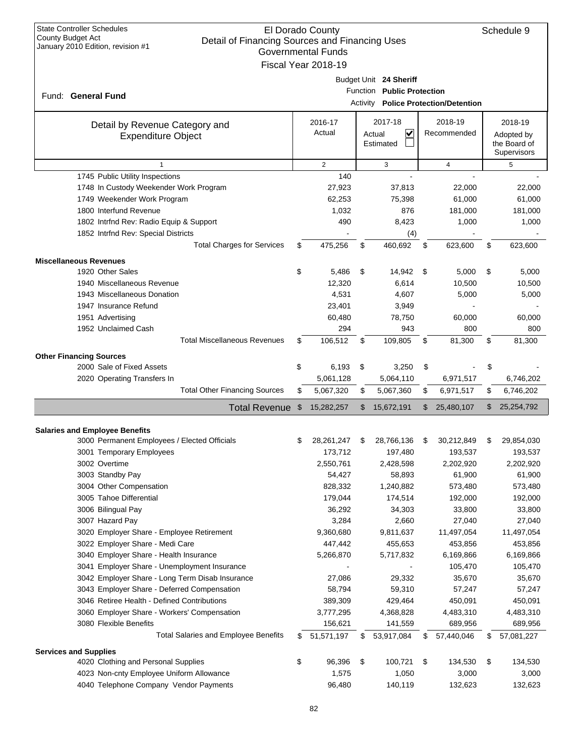| <b>State Controller Schedules</b><br>El Dorado County<br>County Budget Act<br>Detail of Financing Sources and Financing Uses<br>January 2010 Edition, revision #1<br><b>Governmental Funds</b><br>Fiscal Year 2018-19 |                |                   |    |                            |    |                                      |    |                            |
|-----------------------------------------------------------------------------------------------------------------------------------------------------------------------------------------------------------------------|----------------|-------------------|----|----------------------------|----|--------------------------------------|----|----------------------------|
|                                                                                                                                                                                                                       |                |                   |    |                            |    |                                      |    |                            |
|                                                                                                                                                                                                                       |                |                   |    | Budget Unit 24 Sheriff     |    |                                      |    |                            |
| Fund: General Fund                                                                                                                                                                                                    |                |                   |    | Function Public Protection |    |                                      |    |                            |
|                                                                                                                                                                                                                       |                |                   |    |                            |    | Activity Police Protection/Detention |    |                            |
|                                                                                                                                                                                                                       |                |                   |    |                            |    | 2018-19                              |    |                            |
| Detail by Revenue Category and                                                                                                                                                                                        |                | 2016-17<br>Actual |    | 2017-18<br>V               |    | Recommended                          |    | 2018-19                    |
| <b>Expenditure Object</b>                                                                                                                                                                                             |                |                   |    | Actual<br>Estimated        |    |                                      |    | Adopted by<br>the Board of |
|                                                                                                                                                                                                                       |                |                   |    |                            |    |                                      |    | Supervisors                |
| $\mathbf{1}$                                                                                                                                                                                                          |                | $\overline{2}$    |    | 3                          |    | $\overline{4}$                       |    | 5                          |
| 1745 Public Utility Inspections                                                                                                                                                                                       |                | 140               |    |                            |    |                                      |    |                            |
| 1748 In Custody Weekender Work Program                                                                                                                                                                                |                | 27,923            |    | 37,813                     |    | 22,000                               |    | 22,000                     |
| 1749 Weekender Work Program                                                                                                                                                                                           |                | 62,253            |    | 75,398                     |    | 61,000                               |    | 61,000                     |
| 1800 Interfund Revenue                                                                                                                                                                                                |                | 1,032             |    | 876                        |    | 181,000                              |    | 181,000                    |
| 1802 Intrfnd Rev: Radio Equip & Support                                                                                                                                                                               |                | 490               |    | 8,423                      |    | 1,000                                |    | 1,000                      |
| 1852 Intrfnd Rev: Special Districts                                                                                                                                                                                   |                |                   |    | (4)                        |    |                                      |    |                            |
| <b>Total Charges for Services</b>                                                                                                                                                                                     | \$             | 475,256           | \$ | 460,692                    | \$ | 623,600                              | \$ | 623,600                    |
|                                                                                                                                                                                                                       |                |                   |    |                            |    |                                      |    |                            |
| <b>Miscellaneous Revenues</b>                                                                                                                                                                                         |                |                   |    |                            |    |                                      |    |                            |
| 1920 Other Sales                                                                                                                                                                                                      | \$             | 5,486             | \$ | 14,942                     | \$ | 5,000                                | \$ | 5,000                      |
| 1940 Miscellaneous Revenue                                                                                                                                                                                            |                | 12,320            |    | 6,614                      |    | 10,500                               |    | 10,500                     |
| 1943 Miscellaneous Donation                                                                                                                                                                                           |                | 4,531             |    | 4,607                      |    | 5,000                                |    | 5,000                      |
| 1947 Insurance Refund                                                                                                                                                                                                 |                | 23,401            |    | 3,949                      |    |                                      |    |                            |
| 1951 Advertising                                                                                                                                                                                                      |                | 60,480            |    | 78,750                     |    | 60,000                               |    | 60,000                     |
| 1952 Unclaimed Cash                                                                                                                                                                                                   |                | 294               |    | 943                        |    | 800                                  |    | 800                        |
| <b>Total Miscellaneous Revenues</b>                                                                                                                                                                                   | \$             | 106,512           | \$ | 109,805                    | \$ | 81,300                               | \$ | 81,300                     |
| <b>Other Financing Sources</b>                                                                                                                                                                                        |                |                   |    |                            |    |                                      |    |                            |
| 2000 Sale of Fixed Assets                                                                                                                                                                                             | \$             | 6,193             | \$ | 3,250                      | \$ |                                      | \$ |                            |
| 2020 Operating Transfers In                                                                                                                                                                                           |                | 5,061,128         |    | 5,064,110                  |    | 6,971,517                            |    | 6,746,202                  |
| <b>Total Other Financing Sources</b>                                                                                                                                                                                  | \$             | 5,067,320         | \$ | 5,067,360                  | \$ | 6,971,517                            | \$ | 6,746,202                  |
| <b>Total Revenue</b>                                                                                                                                                                                                  | $\mathfrak{S}$ | 15,282,257        | \$ | 15,672,191                 | \$ | 25,480,107                           | \$ | 25,254,792                 |
|                                                                                                                                                                                                                       |                |                   |    |                            |    |                                      |    |                            |
| <b>Salaries and Employee Benefits</b>                                                                                                                                                                                 |                |                   |    |                            |    |                                      |    |                            |
| 3000 Permanent Employees / Elected Officials                                                                                                                                                                          | \$             | 28, 261, 247      | \$ | 28,766,136                 | \$ | 30,212,849                           | \$ | 29,854,030                 |
| 3001 Temporary Employees                                                                                                                                                                                              |                | 173,712           |    | 197,480                    |    | 193,537                              |    | 193,537                    |
| 3002 Overtime                                                                                                                                                                                                         |                | 2,550,761         |    | 2,428,598                  |    | 2,202,920                            |    | 2,202,920                  |
| 3003 Standby Pay                                                                                                                                                                                                      |                | 54,427            |    | 58,893                     |    | 61,900                               |    | 61,900                     |
| 3004 Other Compensation                                                                                                                                                                                               |                | 828,332           |    | 1,240,882                  |    | 573,480                              |    | 573,480                    |
| 3005 Tahoe Differential                                                                                                                                                                                               |                | 179,044           |    | 174,514                    |    | 192,000                              |    | 192,000                    |
| 3006 Bilingual Pay                                                                                                                                                                                                    |                | 36,292            |    | 34,303                     |    | 33,800                               |    | 33,800                     |
| 3007 Hazard Pay                                                                                                                                                                                                       |                | 3,284             |    | 2,660                      |    | 27,040                               |    | 27,040                     |
| 3020 Employer Share - Employee Retirement                                                                                                                                                                             |                | 9,360,680         |    | 9,811,637                  |    | 11,497,054                           |    | 11,497,054                 |
| 3022 Employer Share - Medi Care                                                                                                                                                                                       |                | 447,442           |    | 455,653                    |    | 453,856                              |    | 453,856                    |
| 3040 Employer Share - Health Insurance                                                                                                                                                                                |                | 5,266,870         |    | 5,717,832                  |    | 6,169,866                            |    | 6,169,866                  |
| 3041 Employer Share - Unemployment Insurance                                                                                                                                                                          |                |                   |    |                            |    | 105,470                              |    | 105,470                    |
| 3042 Employer Share - Long Term Disab Insurance                                                                                                                                                                       |                | 27,086            |    | 29,332                     |    | 35,670                               |    | 35,670                     |
| 3043 Employer Share - Deferred Compensation                                                                                                                                                                           |                | 58,794            |    | 59,310                     |    | 57,247                               |    | 57,247                     |
| 3046 Retiree Health - Defined Contributions                                                                                                                                                                           |                | 389,309           |    | 429,464                    |    | 450,091                              |    | 450,091                    |
| 3060 Employer Share - Workers' Compensation                                                                                                                                                                           |                | 3,777,295         |    | 4,368,828                  |    | 4,483,310                            |    | 4,483,310                  |
| 3080 Flexible Benefits                                                                                                                                                                                                |                | 156,621           |    | 141,559                    |    | 689,956                              |    | 689,956                    |
| <b>Total Salaries and Employee Benefits</b>                                                                                                                                                                           | \$             | 51,571,197        | \$ | 53,917,084                 | \$ | 57,440,046                           | \$ | 57,081,227                 |
| <b>Services and Supplies</b>                                                                                                                                                                                          |                |                   |    |                            |    |                                      |    |                            |
| 4020 Clothing and Personal Supplies                                                                                                                                                                                   | \$             | 96,396            | \$ | 100,721                    | \$ | 134,530                              | \$ | 134,530                    |
| 4023 Non-cnty Employee Uniform Allowance                                                                                                                                                                              |                | 1,575             |    | 1,050                      |    | 3,000                                |    | 3,000                      |
| 4040 Telephone Company Vendor Payments                                                                                                                                                                                |                | 96,480            |    | 140,119                    |    | 132,623                              |    | 132,623                    |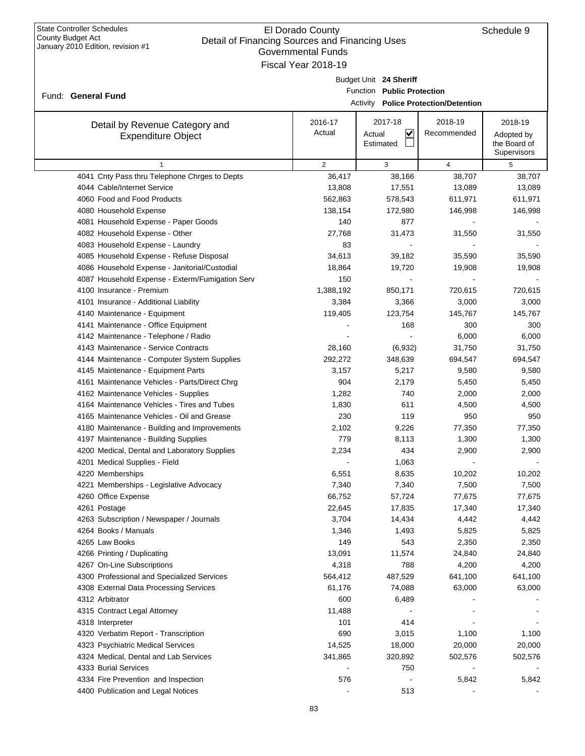| $\epsilon$ . $\epsilon$ $\epsilon$ and $\epsilon$ , $\epsilon$ , $\epsilon$ , $\epsilon$ , $\epsilon$ , $\epsilon$ , $\epsilon$ , $\epsilon$ , $\epsilon$ | Governmental Funds  |                            |                                             |              |
|-----------------------------------------------------------------------------------------------------------------------------------------------------------|---------------------|----------------------------|---------------------------------------------|--------------|
|                                                                                                                                                           | Fiscal Year 2018-19 |                            |                                             |              |
|                                                                                                                                                           |                     | Budget Unit 24 Sheriff     |                                             |              |
|                                                                                                                                                           |                     | Function Public Protection |                                             |              |
| Fund: General Fund                                                                                                                                        |                     |                            | <b>Activity Police Protection/Detention</b> |              |
|                                                                                                                                                           |                     |                            |                                             |              |
| Detail by Revenue Category and                                                                                                                            | 2016-17             | 2017-18                    | 2018-19                                     | 2018-19      |
| <b>Expenditure Object</b>                                                                                                                                 | Actual              | $\checkmark$<br>Actual     | Recommended                                 | Adopted by   |
|                                                                                                                                                           |                     | Estimated                  |                                             | the Board of |
|                                                                                                                                                           |                     |                            |                                             | Supervisors  |
| 1                                                                                                                                                         | $\overline{2}$      | 3                          | 4                                           | 5            |
| 4041 Cnty Pass thru Telephone Chrges to Depts                                                                                                             | 36,417              | 38,166                     | 38,707                                      | 38,707       |
| 4044 Cable/Internet Service                                                                                                                               | 13,808              | 17,551                     | 13,089                                      | 13,089       |
| 4060 Food and Food Products                                                                                                                               | 562,863             | 578,543                    | 611,971                                     | 611,971      |
| 4080 Household Expense                                                                                                                                    | 138,154             | 172,980                    | 146,998                                     | 146,998      |
| 4081 Household Expense - Paper Goods                                                                                                                      | 140                 | 877                        |                                             |              |
| 4082 Household Expense - Other                                                                                                                            | 27,768              | 31,473                     | 31,550                                      | 31,550       |
| 4083 Household Expense - Laundry                                                                                                                          | 83                  |                            |                                             |              |
| 4085 Household Expense - Refuse Disposal                                                                                                                  | 34,613              | 39,182                     | 35,590                                      | 35,590       |
| 4086 Household Expense - Janitorial/Custodial                                                                                                             | 18,864              | 19,720                     | 19,908                                      | 19,908       |
| 4087 Household Expense - Exterm/Fumigation Serv                                                                                                           | 150                 |                            |                                             |              |
| 4100 Insurance - Premium                                                                                                                                  | 1,388,192           | 850,171                    | 720,615                                     | 720,615      |
| 4101 Insurance - Additional Liability                                                                                                                     | 3,384               | 3,366                      | 3,000                                       | 3,000        |
| 4140 Maintenance - Equipment                                                                                                                              | 119,405             | 123,754                    | 145,767                                     | 145,767      |
| 4141 Maintenance - Office Equipment                                                                                                                       |                     | 168                        | 300                                         | 300          |
| 4142 Maintenance - Telephone / Radio                                                                                                                      |                     |                            | 6,000                                       | 6,000        |
| 4143 Maintenance - Service Contracts                                                                                                                      | 28,160              | (6,932)                    | 31,750                                      | 31,750       |
| 4144 Maintenance - Computer System Supplies                                                                                                               | 292,272             | 348,639                    | 694,547                                     | 694,547      |
| 4145 Maintenance - Equipment Parts                                                                                                                        | 3,157               | 5,217                      | 9,580                                       | 9,580        |
| 4161 Maintenance Vehicles - Parts/Direct Chrg                                                                                                             | 904                 | 2,179                      | 5,450                                       | 5,450        |
| 4162 Maintenance Vehicles - Supplies                                                                                                                      | 1,282               | 740                        | 2,000                                       | 2,000        |
| 4164 Maintenance Vehicles - Tires and Tubes                                                                                                               | 1,830               | 611                        | 4,500                                       | 4,500        |
| 4165 Maintenance Vehicles - Oil and Grease                                                                                                                | 230                 | 119                        | 950                                         | 950          |
| 4180 Maintenance - Building and Improvements                                                                                                              | 2,102               | 9,226                      | 77,350                                      | 77,350       |
| 4197 Maintenance - Building Supplies                                                                                                                      | 779                 | 8,113                      | 1,300                                       | 1,300        |
| 4200 Medical, Dental and Laboratory Supplies                                                                                                              |                     | 434                        |                                             |              |
|                                                                                                                                                           | 2,234               |                            | 2,900                                       | 2,900        |
| 4201 Medical Supplies - Field                                                                                                                             |                     | 1,063                      |                                             |              |
| 4220 Memberships                                                                                                                                          | 6,551               | 8,635                      | 10,202                                      | 10,202       |
| 4221 Memberships - Legislative Advocacy                                                                                                                   | 7,340               | 7,340                      | 7,500                                       | 7,500        |
| 4260 Office Expense                                                                                                                                       | 66,752              | 57,724                     | 77,675                                      | 77,675       |
| 4261 Postage                                                                                                                                              | 22,645              | 17,835                     | 17,340                                      | 17,340       |
| 4263 Subscription / Newspaper / Journals                                                                                                                  | 3,704               | 14,434                     | 4,442                                       | 4,442        |
| 4264 Books / Manuals                                                                                                                                      | 1,346               | 1,493                      | 5,825                                       | 5,825        |
| 4265 Law Books                                                                                                                                            | 149                 | 543                        | 2,350                                       | 2,350        |
| 4266 Printing / Duplicating                                                                                                                               | 13,091              | 11,574                     | 24,840                                      | 24,840       |
| 4267 On-Line Subscriptions                                                                                                                                | 4,318               | 788                        | 4,200                                       | 4,200        |
| 4300 Professional and Specialized Services                                                                                                                | 564,412             | 487,529                    | 641,100                                     | 641,100      |
| 4308 External Data Processing Services                                                                                                                    | 61,176              | 74,088                     | 63,000                                      | 63,000       |
| 4312 Arbitrator                                                                                                                                           | 600                 | 6,489                      |                                             |              |
| 4315 Contract Legal Attorney                                                                                                                              | 11,488              |                            |                                             |              |
| 4318 Interpreter                                                                                                                                          | 101                 | 414                        |                                             |              |
| 4320 Verbatim Report - Transcription                                                                                                                      | 690                 | 3,015                      | 1,100                                       | 1,100        |
| 4323 Psychiatric Medical Services                                                                                                                         | 14,525              | 18,000                     | 20,000                                      | 20,000       |
| 4324 Medical, Dental and Lab Services                                                                                                                     | 341,865             | 320,892                    | 502,576                                     | 502,576      |
| 4333 Burial Services                                                                                                                                      |                     | 750                        |                                             |              |
| 4334 Fire Prevention and Inspection                                                                                                                       | 576                 |                            | 5,842                                       | 5,842        |
| 4400 Publication and Legal Notices                                                                                                                        |                     | 513                        |                                             |              |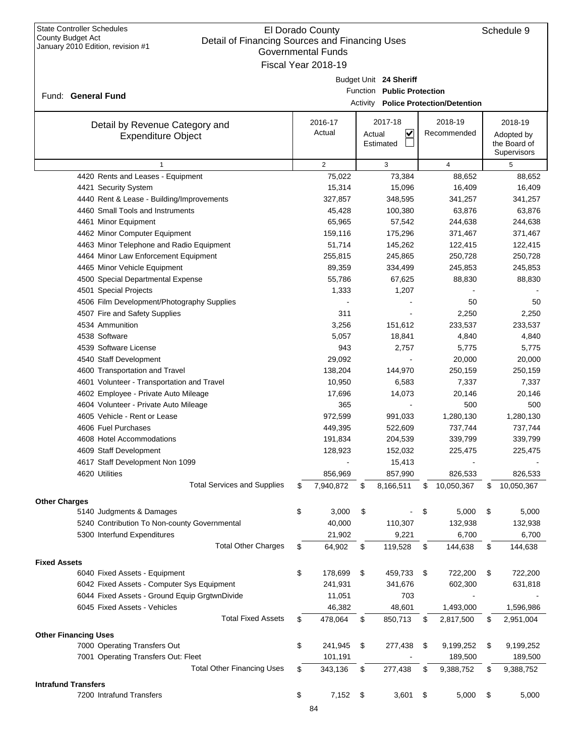|                                               | Governmental Funds  |        |                            |                                             |    |              |
|-----------------------------------------------|---------------------|--------|----------------------------|---------------------------------------------|----|--------------|
|                                               | Fiscal Year 2018-19 |        |                            |                                             |    |              |
|                                               |                     |        | Budget Unit 24 Sheriff     |                                             |    |              |
| Fund: General Fund                            |                     |        | Function Public Protection |                                             |    |              |
|                                               |                     |        |                            | <b>Activity Police Protection/Detention</b> |    |              |
|                                               | 2016-17             |        | 2017-18                    | 2018-19                                     |    | 2018-19      |
| Detail by Revenue Category and                | Actual              | Actual | ⊻                          | Recommended                                 |    | Adopted by   |
| <b>Expenditure Object</b>                     |                     |        | Estimated                  |                                             |    | the Board of |
|                                               |                     |        |                            |                                             |    | Supervisors  |
| $\mathbf{1}$                                  | $\overline{2}$      |        | 3                          | 4                                           |    | 5            |
| 4420 Rents and Leases - Equipment             | 75,022              |        | 73,384                     | 88,652                                      |    | 88,652       |
| 4421 Security System                          | 15,314              |        | 15,096                     | 16,409                                      |    | 16,409       |
| 4440 Rent & Lease - Building/Improvements     | 327,857             |        | 348,595                    | 341,257                                     |    | 341,257      |
| 4460 Small Tools and Instruments              | 45,428              |        | 100,380                    | 63,876                                      |    | 63,876       |
| 4461 Minor Equipment                          | 65,965              |        | 57,542                     | 244,638                                     |    | 244,638      |
| 4462 Minor Computer Equipment                 | 159,116             |        | 175,296                    | 371,467                                     |    | 371,467      |
| 4463 Minor Telephone and Radio Equipment      | 51,714              |        | 145,262                    | 122,415                                     |    | 122,415      |
| 4464 Minor Law Enforcement Equipment          | 255,815             |        | 245,865                    | 250,728                                     |    | 250,728      |
| 4465 Minor Vehicle Equipment                  | 89,359              |        | 334,499                    | 245,853                                     |    | 245,853      |
| 4500 Special Departmental Expense             | 55,786              |        | 67,625                     | 88,830                                      |    | 88,830       |
| 4501 Special Projects                         | 1,333               |        | 1,207                      |                                             |    |              |
| 4506 Film Development/Photography Supplies    |                     |        |                            | 50                                          |    | 50           |
| 4507 Fire and Safety Supplies                 | 311                 |        |                            | 2,250                                       |    | 2,250        |
| 4534 Ammunition                               | 3,256               |        | 151,612                    | 233,537                                     |    | 233,537      |
| 4538 Software                                 | 5,057               |        | 18,841                     | 4,840                                       |    | 4,840        |
| 4539 Software License                         | 943                 |        | 2,757                      | 5,775                                       |    | 5,775        |
| 4540 Staff Development                        | 29,092              |        |                            | 20,000                                      |    | 20,000       |
| 4600 Transportation and Travel                | 138,204             |        | 144,970                    | 250,159                                     |    | 250,159      |
| 4601 Volunteer - Transportation and Travel    | 10,950              |        | 6,583                      | 7,337                                       |    | 7,337        |
| 4602 Employee - Private Auto Mileage          | 17,696              |        | 14,073                     | 20,146                                      |    | 20,146       |
| 4604 Volunteer - Private Auto Mileage         | 365                 |        |                            | 500                                         |    | 500          |
| 4605 Vehicle - Rent or Lease                  | 972,599             |        | 991,033                    | 1,280,130                                   |    | 1,280,130    |
| 4606 Fuel Purchases                           | 449,395             |        | 522,609                    | 737,744                                     |    | 737,744      |
| 4608 Hotel Accommodations                     | 191,834             |        | 204,539                    | 339,799                                     |    | 339,799      |
| 4609 Staff Development                        | 128,923             |        | 152,032                    | 225,475                                     |    | 225,475      |
| 4617 Staff Development Non 1099               |                     |        | 15,413                     |                                             |    |              |
| 4620 Utilities                                | 856,969             |        | 857,990                    | 826,533                                     |    | 826,533      |
| <b>Total Services and Supplies</b>            | \$<br>7,940,872     | \$     | 8,166,511                  | \$<br>10,050,367                            | \$ | 10,050,367   |
| <b>Other Charges</b>                          |                     |        |                            |                                             |    |              |
| 5140 Judgments & Damages                      | \$<br>3,000         | \$     |                            | \$<br>5,000                                 | \$ | 5,000        |
| 5240 Contribution To Non-county Governmental  | 40,000              |        | 110,307                    | 132,938                                     |    | 132,938      |
| 5300 Interfund Expenditures                   | 21,902              |        | 9,221                      | 6,700                                       |    | 6,700        |
| <b>Total Other Charges</b>                    | \$<br>64,902        | \$     | 119,528                    | \$<br>144,638                               | \$ | 144,638      |
| <b>Fixed Assets</b>                           |                     |        |                            |                                             |    |              |
| 6040 Fixed Assets - Equipment                 | \$<br>178,699       | \$     | 459,733                    | \$<br>722,200                               | \$ | 722,200      |
| 6042 Fixed Assets - Computer Sys Equipment    | 241,931             |        | 341,676                    | 602,300                                     |    | 631,818      |
| 6044 Fixed Assets - Ground Equip GrgtwnDivide | 11,051              |        | 703                        |                                             |    |              |
| 6045 Fixed Assets - Vehicles                  | 46,382              |        | 48,601                     | 1,493,000                                   |    | 1,596,986    |
| <b>Total Fixed Assets</b>                     | \$<br>478,064       | \$     | 850,713                    | \$<br>2,817,500                             | \$ | 2,951,004    |
|                                               |                     |        |                            |                                             |    |              |
| <b>Other Financing Uses</b>                   |                     |        |                            |                                             |    |              |
| 7000 Operating Transfers Out                  | \$<br>241,945       | \$     | 277,438                    | \$<br>9,199,252                             | \$ | 9,199,252    |
| 7001 Operating Transfers Out: Fleet           | 101,191             |        |                            | 189,500                                     |    | 189,500      |
| <b>Total Other Financing Uses</b>             | \$<br>343,136       | \$     | 277,438                    | \$<br>9,388,752                             | \$ | 9,388,752    |
| <b>Intrafund Transfers</b>                    |                     |        |                            |                                             |    |              |
| 7200 Intrafund Transfers                      | \$<br>$7,152$ \$    |        | 3,601                      | \$<br>5,000                                 | \$ | 5,000        |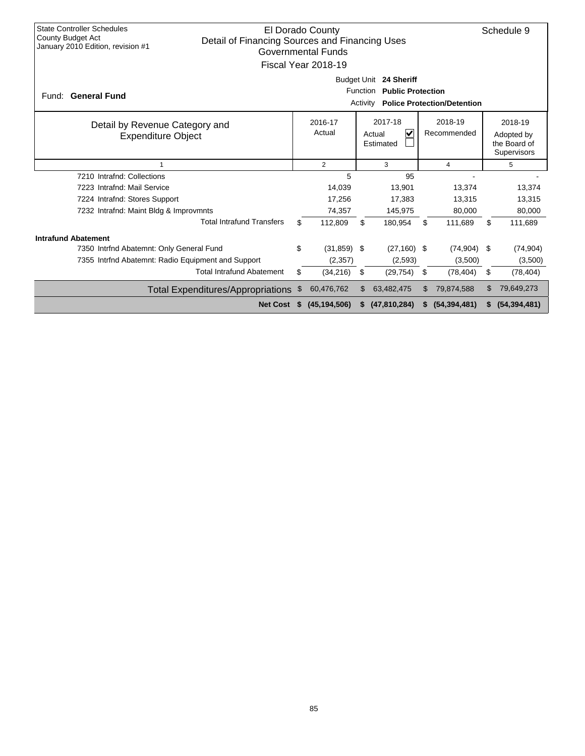| <b>State Controller Schedules</b><br>El Dorado County<br><b>County Budget Act</b><br>Detail of Financing Sources and Financing Uses<br>January 2010 Edition, revision #1<br>Governmental Funds<br>Fiscal Year 2018-19 |                                                                                                                         |                |    |                |                                                      |                |    | Schedule 9     |  |        |
|-----------------------------------------------------------------------------------------------------------------------------------------------------------------------------------------------------------------------|-------------------------------------------------------------------------------------------------------------------------|----------------|----|----------------|------------------------------------------------------|----------------|----|----------------|--|--------|
| Fund: General Fund                                                                                                                                                                                                    | Budget Unit 24 Sheriff<br><b>Function</b><br><b>Public Protection</b><br><b>Police Protection/Detention</b><br>Activity |                |    |                |                                                      |                |    |                |  |        |
| Detail by Revenue Category and<br><b>Expenditure Object</b>                                                                                                                                                           | 2017-18<br>2018-19<br>2016-17<br>Actual<br>V<br>Recommended<br>Actual<br>Estimated                                      |                |    |                | 2018-19<br>Adopted by<br>the Board of<br>Supervisors |                |    |                |  |        |
| 1                                                                                                                                                                                                                     |                                                                                                                         | 2              |    | 3<br>4         |                                                      |                | 5  |                |  |        |
| 7210 Intrafnd: Collections                                                                                                                                                                                            |                                                                                                                         | 5              |    | 95             |                                                      |                |    |                |  |        |
| 7223 Intrafnd: Mail Service                                                                                                                                                                                           |                                                                                                                         | 14,039         |    | 13,901         |                                                      | 13,374         |    | 13,374         |  |        |
| 7224 Intrafnd: Stores Support                                                                                                                                                                                         |                                                                                                                         | 17,256         |    | 17,383         |                                                      | 13,315         |    | 13,315         |  |        |
| 7232 Intrafnd: Maint Bldg & Improvmnts                                                                                                                                                                                |                                                                                                                         | 74,357         |    | 145,975        |                                                      |                |    | 80,000         |  | 80,000 |
| <b>Total Intrafund Transfers</b>                                                                                                                                                                                      | \$                                                                                                                      | 112,809        | \$ | 180,954        | \$                                                   | 111,689        | \$ | 111,689        |  |        |
| <b>Intrafund Abatement</b>                                                                                                                                                                                            |                                                                                                                         |                |    |                |                                                      |                |    |                |  |        |
| 7350 Intrfnd Abatemnt: Only General Fund                                                                                                                                                                              | \$                                                                                                                      | $(31, 859)$ \$ |    | $(27, 160)$ \$ |                                                      | (74, 904)      | \$ | (74, 904)      |  |        |
| 7355 Intrind Abatemnt: Radio Equipment and Support                                                                                                                                                                    |                                                                                                                         | (2,357)        |    | (2,593)        |                                                      | (3,500)        |    | (3,500)        |  |        |
| <b>Total Intrafund Abatement</b>                                                                                                                                                                                      | \$                                                                                                                      | (34, 216)      | \$ | (29, 754)      | \$                                                   | (78, 404)      | \$ | (78, 404)      |  |        |
| <b>Total Expenditures/Appropriations</b>                                                                                                                                                                              | \$                                                                                                                      | 60,476,762     |    | 63,482,475     | \$.                                                  | 79,874,588     | \$ | 79,649,273     |  |        |
| <b>Net Cost</b>                                                                                                                                                                                                       | S                                                                                                                       | (45, 194, 506) |    | (47, 810, 284) |                                                      | (54, 394, 481) |    | (54, 394, 481) |  |        |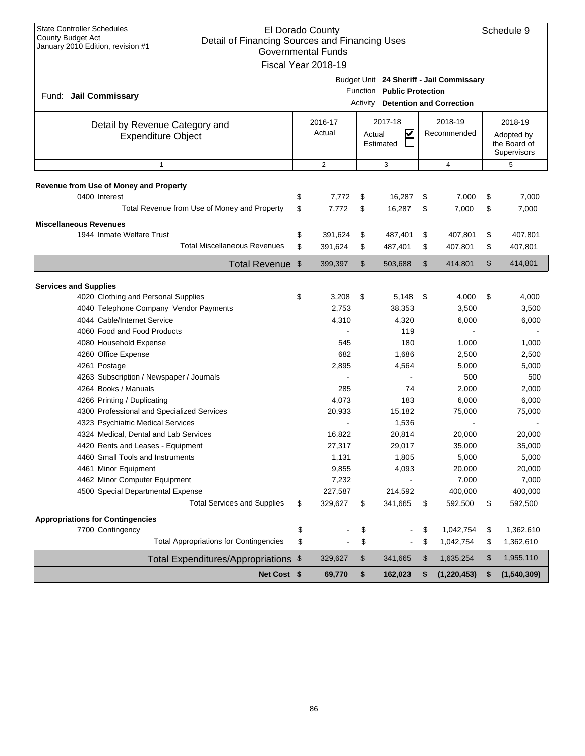| <b>State Controller Schedules</b><br>El Dorado County<br>Schedule 9<br>County Budget Act<br>Detail of Financing Sources and Financing Uses<br>January 2010 Edition, revision #1<br><b>Governmental Funds</b><br>Fiscal Year 2018-19 |                                                                                                                    |                |        |                |             |               |    |                                           |
|-------------------------------------------------------------------------------------------------------------------------------------------------------------------------------------------------------------------------------------|--------------------------------------------------------------------------------------------------------------------|----------------|--------|----------------|-------------|---------------|----|-------------------------------------------|
| Fund: Jail Commissary                                                                                                                                                                                                               | Budget Unit 24 Sheriff - Jail Commissary<br>Function Public Protection<br>Activity <b>Detention and Correction</b> |                |        |                |             |               |    |                                           |
| Detail by Revenue Category and                                                                                                                                                                                                      |                                                                                                                    | 2016-17        |        | 2017-18        |             | 2018-19       |    | 2018-19                                   |
| <b>Expenditure Object</b>                                                                                                                                                                                                           |                                                                                                                    | Actual         | Actual | V<br>Estimated | Recommended |               |    | Adopted by<br>the Board of<br>Supervisors |
| $\mathbf{1}$                                                                                                                                                                                                                        |                                                                                                                    | $\overline{2}$ |        | 3              |             | 4             |    | 5                                         |
| Revenue from Use of Money and Property                                                                                                                                                                                              |                                                                                                                    |                |        |                |             |               |    |                                           |
| 0400 Interest                                                                                                                                                                                                                       | \$                                                                                                                 | 7,772          | \$     | 16,287         | \$          | 7,000         | \$ | 7,000                                     |
| Total Revenue from Use of Money and Property                                                                                                                                                                                        | \$                                                                                                                 | 7,772          | \$     | 16,287         | \$          | 7,000         | \$ | 7,000                                     |
| <b>Miscellaneous Revenues</b>                                                                                                                                                                                                       |                                                                                                                    |                |        |                |             |               |    |                                           |
| 1944 Inmate Welfare Trust                                                                                                                                                                                                           | \$                                                                                                                 | 391,624        | \$     | 487,401        | \$          | 407,801       | \$ | 407,801                                   |
| <b>Total Miscellaneous Revenues</b>                                                                                                                                                                                                 | \$                                                                                                                 | 391,624        | \$     | 487,401        | \$          | 407,801       | \$ | 407,801                                   |
| Total Revenue \$                                                                                                                                                                                                                    |                                                                                                                    | 399,397        | \$     | 503,688        | \$          | 414,801       | \$ | 414,801                                   |
| <b>Services and Supplies</b>                                                                                                                                                                                                        |                                                                                                                    |                |        |                |             |               |    |                                           |
| 4020 Clothing and Personal Supplies                                                                                                                                                                                                 | \$                                                                                                                 | 3,208          | \$     | 5,148          | -\$         | 4,000         | \$ | 4,000                                     |
| 4040 Telephone Company Vendor Payments                                                                                                                                                                                              |                                                                                                                    | 2,753          |        | 38,353         |             | 3,500         |    | 3,500                                     |
| 4044 Cable/Internet Service                                                                                                                                                                                                         |                                                                                                                    | 4,310          |        | 4,320          |             | 6,000         |    | 6,000                                     |
| 4060 Food and Food Products                                                                                                                                                                                                         |                                                                                                                    |                |        | 119            |             |               |    |                                           |
| 4080 Household Expense                                                                                                                                                                                                              |                                                                                                                    | 545            |        | 180            |             | 1,000         |    | 1,000                                     |
| 4260 Office Expense                                                                                                                                                                                                                 |                                                                                                                    | 682            |        | 1,686          |             | 2,500         |    | 2,500                                     |
| 4261 Postage                                                                                                                                                                                                                        |                                                                                                                    | 2,895          |        | 4,564          |             | 5,000         |    | 5,000                                     |
| 4263 Subscription / Newspaper / Journals                                                                                                                                                                                            |                                                                                                                    |                |        |                |             | 500           |    | 500                                       |
| 4264 Books / Manuals                                                                                                                                                                                                                |                                                                                                                    | 285            |        | 74             |             | 2,000         |    | 2,000                                     |
| 4266 Printing / Duplicating                                                                                                                                                                                                         |                                                                                                                    | 4,073          |        | 183            |             | 6,000         |    | 6,000                                     |
| 4300 Professional and Specialized Services                                                                                                                                                                                          |                                                                                                                    | 20,933         |        | 15,182         |             | 75,000        |    | 75,000                                    |
| 4323 Psychiatric Medical Services                                                                                                                                                                                                   |                                                                                                                    |                |        | 1,536          |             |               |    |                                           |
| 4324 Medical, Dental and Lab Services                                                                                                                                                                                               |                                                                                                                    | 16,822         |        | 20,814         |             | 20,000        |    | 20,000                                    |
| 4420 Rents and Leases - Equipment                                                                                                                                                                                                   |                                                                                                                    | 27,317         |        | 29,017         |             | 35,000        |    | 35,000                                    |
| 4460 Small Tools and Instruments                                                                                                                                                                                                    |                                                                                                                    | 1,131          |        | 1,805          |             | 5,000         |    | 5,000                                     |
| 4461 Minor Equipment                                                                                                                                                                                                                |                                                                                                                    | 9,855          |        | 4,093          |             | 20,000        |    | 20,000                                    |
| 4462 Minor Computer Equipment                                                                                                                                                                                                       |                                                                                                                    | 7,232          |        |                |             | 7,000         |    | 7,000                                     |
| 4500 Special Departmental Expense                                                                                                                                                                                                   |                                                                                                                    | 227,587        |        | 214,592        |             | 400,000       |    | 400,000                                   |
| <b>Total Services and Supplies</b>                                                                                                                                                                                                  | \$                                                                                                                 | 329,627        | \$     | 341,665        | \$          | 592,500       | \$ | 592,500                                   |
| <b>Appropriations for Contingencies</b>                                                                                                                                                                                             |                                                                                                                    |                |        |                |             |               |    |                                           |
| 7700 Contingency                                                                                                                                                                                                                    | \$                                                                                                                 |                | \$     |                | \$          | 1,042,754     | \$ | 1,362,610                                 |
| <b>Total Appropriations for Contingencies</b>                                                                                                                                                                                       | \$                                                                                                                 |                | \$     |                | \$          | 1,042,754     | \$ | 1,362,610                                 |
| Total Expenditures/Appropriations \$                                                                                                                                                                                                |                                                                                                                    | 329,627        | \$     | 341,665        | \$          | 1,635,254     | \$ | 1,955,110                                 |
| Net Cost \$                                                                                                                                                                                                                         |                                                                                                                    | 69,770         | \$     | 162,023        | \$          | (1, 220, 453) | \$ | (1,540,309)                               |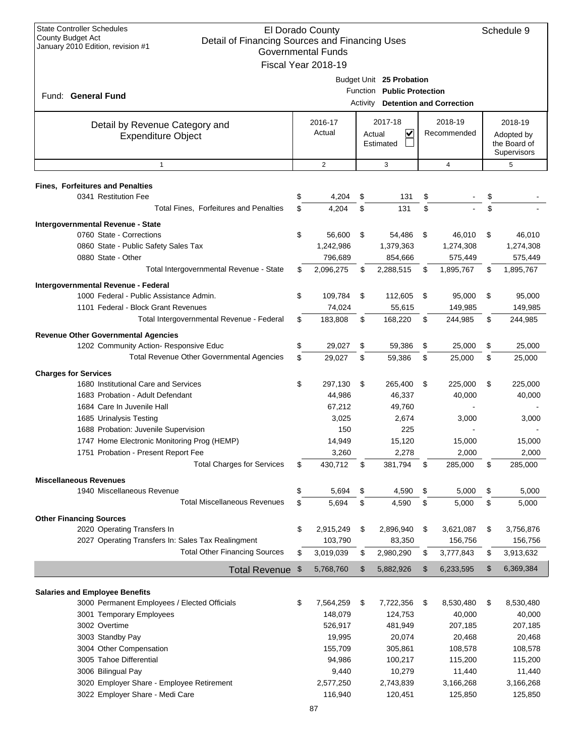| <b>State Controller Schedules</b><br>County Budget Act<br>Detail of Financing Sources and Financing Uses<br>January 2010 Edition, revision #1 |    | El Dorado County<br><b>Governmental Funds</b> |          |                            |                                 | Schedule 9                 |
|-----------------------------------------------------------------------------------------------------------------------------------------------|----|-----------------------------------------------|----------|----------------------------|---------------------------------|----------------------------|
|                                                                                                                                               |    | Fiscal Year 2018-19                           |          |                            |                                 |                            |
|                                                                                                                                               |    |                                               |          | Budget Unit 25 Probation   |                                 |                            |
|                                                                                                                                               |    |                                               |          | Function Public Protection |                                 |                            |
| Fund: General Fund                                                                                                                            |    |                                               | Activity |                            | <b>Detention and Correction</b> |                            |
|                                                                                                                                               |    |                                               |          |                            |                                 |                            |
| Detail by Revenue Category and                                                                                                                |    | 2016-17                                       |          | 2017-18                    | 2018-19                         | 2018-19                    |
| <b>Expenditure Object</b>                                                                                                                     |    | Actual                                        |          | $\checkmark$<br>Actual     | Recommended                     | Adopted by<br>the Board of |
|                                                                                                                                               |    |                                               |          | Estimated                  |                                 | Supervisors                |
| $\mathbf{1}$                                                                                                                                  |    | $\overline{2}$                                |          | 3                          | $\overline{4}$                  | 5                          |
|                                                                                                                                               |    |                                               |          |                            |                                 |                            |
| <b>Fines, Forfeitures and Penalties</b>                                                                                                       |    |                                               |          |                            |                                 |                            |
| 0341 Restitution Fee                                                                                                                          | S  | 4,204                                         | \$       | 131                        | \$                              | \$                         |
| Total Fines, Forfeitures and Penalties                                                                                                        | \$ | 4,204                                         | \$       | 131                        | \$                              | \$                         |
| Intergovernmental Revenue - State                                                                                                             |    |                                               |          |                            |                                 |                            |
| 0760 State - Corrections                                                                                                                      | \$ | 56,600                                        | \$       | 54,486                     | \$<br>46,010                    | \$<br>46,010               |
| 0860 State - Public Safety Sales Tax                                                                                                          |    | 1,242,986                                     |          | 1,379,363                  | 1,274,308                       | 1,274,308                  |
| 0880 State - Other                                                                                                                            |    | 796,689                                       |          | 854,666                    | 575,449                         | 575,449                    |
| Total Intergovernmental Revenue - State                                                                                                       | \$ | 2,096,275                                     | \$       | 2,288,515                  | \$<br>1,895,767                 | \$<br>1,895,767            |
| Intergovernmental Revenue - Federal                                                                                                           |    |                                               |          |                            |                                 |                            |
| 1000 Federal - Public Assistance Admin.                                                                                                       | \$ | 109,784                                       | \$       | 112,605                    | \$<br>95,000                    | \$<br>95,000               |
| 1101 Federal - Block Grant Revenues                                                                                                           |    | 74,024                                        |          | 55,615                     | 149,985                         | 149,985                    |
| Total Intergovernmental Revenue - Federal                                                                                                     | \$ | 183,808                                       | \$       | 168,220                    | \$<br>244,985                   | \$<br>244,985              |
| <b>Revenue Other Governmental Agencies</b>                                                                                                    |    |                                               |          |                            |                                 |                            |
| 1202 Community Action- Responsive Educ                                                                                                        | \$ | 29,027                                        | \$       | 59,386                     | \$<br>25,000                    | \$<br>25,000               |
| Total Revenue Other Governmental Agencies                                                                                                     | \$ | 29,027                                        | \$       | 59,386                     | \$<br>25,000                    | \$<br>25,000               |
| <b>Charges for Services</b>                                                                                                                   |    |                                               |          |                            |                                 |                            |
| 1680 Institutional Care and Services                                                                                                          | \$ | 297,130                                       | \$       | 265,400                    | \$<br>225,000                   | \$<br>225,000              |
| 1683 Probation - Adult Defendant                                                                                                              |    | 44,986                                        |          | 46,337                     | 40,000                          | 40,000                     |
| 1684 Care In Juvenile Hall                                                                                                                    |    | 67,212                                        |          | 49,760                     |                                 |                            |
| 1685 Urinalysis Testing                                                                                                                       |    | 3,025                                         |          | 2,674                      | 3,000                           | 3,000                      |
| 1688 Probation: Juvenile Supervision                                                                                                          |    | 150                                           |          | 225                        |                                 |                            |
| 1747 Home Electronic Monitoring Prog (HEMP)                                                                                                   |    | 14,949                                        |          | 15,120                     | 15,000                          | 15,000                     |
| 1751 Probation - Present Report Fee                                                                                                           |    | 3,260                                         |          | 2,278                      | 2,000                           | 2,000                      |
| <b>Total Charges for Services</b>                                                                                                             | \$ | 430,712                                       | \$       | 381,794                    | \$<br>285,000                   | \$<br>285,000              |
|                                                                                                                                               |    |                                               |          |                            |                                 |                            |
| <b>Miscellaneous Revenues</b><br>1940 Miscellaneous Revenue                                                                                   | \$ | 5,694                                         | \$       | 4,590                      | \$<br>5,000                     | \$<br>5,000                |
| <b>Total Miscellaneous Revenues</b>                                                                                                           | \$ | 5,694                                         | \$       | 4,590                      | \$<br>5,000                     | \$<br>5,000                |
|                                                                                                                                               |    |                                               |          |                            |                                 |                            |
| <b>Other Financing Sources</b>                                                                                                                |    |                                               |          |                            |                                 |                            |
| 2020 Operating Transfers In                                                                                                                   | \$ | 2,915,249                                     | \$       | 2,896,940                  | \$<br>3,621,087                 | \$<br>3,756,876            |
| 2027 Operating Transfers In: Sales Tax Realingment<br><b>Total Other Financing Sources</b>                                                    |    | 103,790                                       |          | 83,350                     | 156,756<br>3,777,843            | 156,756                    |
|                                                                                                                                               | \$ | 3,019,039                                     | \$       | 2,980,290                  | \$                              | \$<br>3,913,632            |
| <b>Total Revenue</b>                                                                                                                          | \$ | 5,768,760                                     | \$       | 5,882,926                  | \$<br>6,233,595                 | \$<br>6,369,384            |
| <b>Salaries and Employee Benefits</b>                                                                                                         |    |                                               |          |                            |                                 |                            |
| 3000 Permanent Employees / Elected Officials                                                                                                  | \$ | 7,564,259                                     | \$       | 7,722,356                  | \$<br>8,530,480                 | \$<br>8,530,480            |
| 3001 Temporary Employees                                                                                                                      |    | 148,079                                       |          | 124,753                    | 40,000                          | 40,000                     |
| 3002 Overtime                                                                                                                                 |    | 526,917                                       |          | 481,949                    | 207,185                         | 207,185                    |
| 3003 Standby Pay                                                                                                                              |    | 19,995                                        |          | 20,074                     | 20,468                          | 20,468                     |
| 3004 Other Compensation                                                                                                                       |    | 155,709                                       |          | 305,861                    | 108,578                         | 108,578                    |
| 3005 Tahoe Differential                                                                                                                       |    | 94,986                                        |          | 100,217                    | 115,200                         | 115,200                    |
| 3006 Bilingual Pay                                                                                                                            |    | 9,440                                         |          | 10,279                     | 11,440                          | 11,440                     |
| 3020 Employer Share - Employee Retirement                                                                                                     |    | 2,577,250                                     |          | 2,743,839                  | 3,166,268                       | 3,166,268                  |
| 3022 Employer Share - Medi Care                                                                                                               |    | 116,940                                       |          | 120,451                    | 125,850                         | 125,850                    |
|                                                                                                                                               |    |                                               |          |                            |                                 |                            |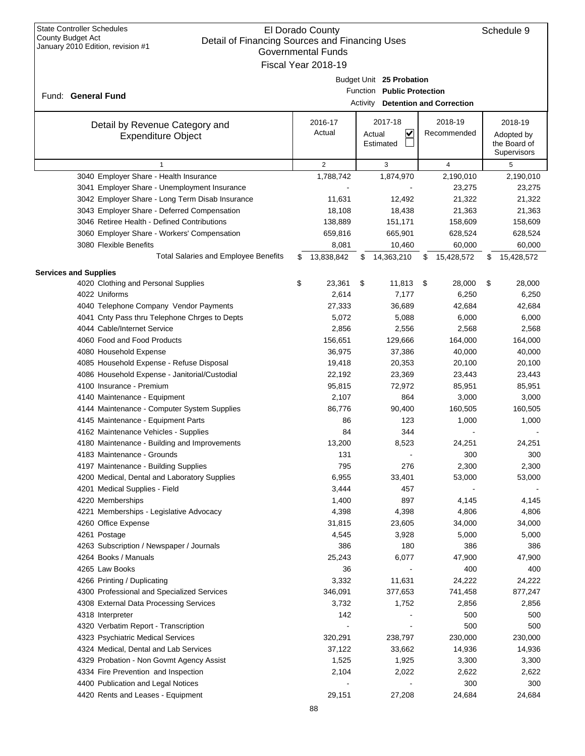| Governmental Funds |                                                         |    |            |    |                                |      |                |    |              |  |  |  |
|--------------------|---------------------------------------------------------|----|------------|----|--------------------------------|------|----------------|----|--------------|--|--|--|
|                    | Fiscal Year 2018-19                                     |    |            |    |                                |      |                |    |              |  |  |  |
|                    | Budget Unit 25 Probation                                |    |            |    |                                |      |                |    |              |  |  |  |
|                    | Function Public Protection                              |    |            |    |                                |      |                |    |              |  |  |  |
|                    | Fund: General Fund<br>Activity Detention and Correction |    |            |    |                                |      |                |    |              |  |  |  |
|                    |                                                         |    |            |    |                                |      |                |    |              |  |  |  |
|                    | Detail by Revenue Category and                          |    | 2016-17    |    | 2017-18                        |      | 2018-19        |    | 2018-19      |  |  |  |
|                    | <b>Expenditure Object</b>                               |    | Actual     |    | $\blacktriangledown$<br>Actual |      | Recommended    |    | Adopted by   |  |  |  |
|                    |                                                         |    |            |    | Estimated                      |      |                |    | the Board of |  |  |  |
|                    |                                                         |    |            |    |                                |      |                |    | Supervisors  |  |  |  |
|                    | $\mathbf{1}$                                            |    | 2          |    | 3                              |      | $\overline{4}$ |    | 5            |  |  |  |
|                    | 3040 Employer Share - Health Insurance                  |    | 1,788,742  |    | 1,874,970                      |      | 2,190,010      |    | 2,190,010    |  |  |  |
|                    | 3041 Employer Share - Unemployment Insurance            |    |            |    |                                |      | 23,275         |    | 23,275       |  |  |  |
|                    | 3042 Employer Share - Long Term Disab Insurance         |    | 11,631     |    | 12,492                         |      | 21,322         |    | 21,322       |  |  |  |
|                    | 3043 Employer Share - Deferred Compensation             |    | 18,108     |    | 18,438                         |      | 21,363         |    | 21,363       |  |  |  |
|                    | 3046 Retiree Health - Defined Contributions             |    | 138,889    |    | 151,171                        |      | 158,609        |    | 158,609      |  |  |  |
|                    | 3060 Employer Share - Workers' Compensation             |    | 659,816    |    | 665,901                        |      | 628,524        |    | 628,524      |  |  |  |
|                    | 3080 Flexible Benefits                                  |    | 8,081      |    | 10,460                         |      | 60,000         |    | 60,000       |  |  |  |
|                    | <b>Total Salaries and Employee Benefits</b>             | \$ | 13,838,842 | S  | 14,363,210                     | \$   | 15,428,572     | \$ | 15,428,572   |  |  |  |
|                    | <b>Services and Supplies</b>                            |    |            |    |                                |      |                |    |              |  |  |  |
|                    | 4020 Clothing and Personal Supplies                     | \$ | 23,361     | \$ | 11,813                         | - \$ | 28,000         | \$ | 28,000       |  |  |  |
|                    | 4022 Uniforms                                           |    | 2,614      |    | 7,177                          |      | 6,250          |    | 6,250        |  |  |  |
|                    | 4040 Telephone Company Vendor Payments                  |    | 27,333     |    | 36,689                         |      | 42,684         |    | 42,684       |  |  |  |
|                    | 4041 Cnty Pass thru Telephone Chrges to Depts           |    | 5,072      |    | 5,088                          |      | 6,000          |    | 6,000        |  |  |  |
|                    | 4044 Cable/Internet Service                             |    | 2,856      |    | 2,556                          |      | 2,568          |    | 2,568        |  |  |  |
|                    | 4060 Food and Food Products                             |    | 156,651    |    | 129,666                        |      | 164,000        |    | 164,000      |  |  |  |
|                    | 4080 Household Expense                                  |    | 36,975     |    | 37,386                         |      | 40,000         |    | 40,000       |  |  |  |
|                    | 4085 Household Expense - Refuse Disposal                |    | 19,418     |    | 20,353                         |      | 20,100         |    | 20,100       |  |  |  |
|                    | 4086 Household Expense - Janitorial/Custodial           |    | 22,192     |    | 23,369                         |      | 23,443         |    | 23,443       |  |  |  |
|                    | 4100 Insurance - Premium                                |    | 95,815     |    | 72,972                         |      | 85,951         |    | 85,951       |  |  |  |
|                    | 4140 Maintenance - Equipment                            |    | 2,107      |    | 864                            |      | 3,000          |    | 3,000        |  |  |  |
|                    | 4144 Maintenance - Computer System Supplies             |    | 86,776     |    | 90,400                         |      | 160,505        |    | 160,505      |  |  |  |
|                    | 4145 Maintenance - Equipment Parts                      |    | 86         |    | 123                            |      | 1,000          |    | 1,000        |  |  |  |
|                    | 4162 Maintenance Vehicles - Supplies                    |    | 84         |    | 344                            |      |                |    |              |  |  |  |
|                    | 4180 Maintenance - Building and Improvements            |    | 13,200     |    | 8,523                          |      | 24,251         |    | 24,251       |  |  |  |
|                    | 4183 Maintenance - Grounds                              |    | 131        |    |                                |      | 300            |    | 300          |  |  |  |
|                    | 4197 Maintenance - Building Supplies                    |    | 795        |    | 276                            |      | 2,300          |    | 2,300        |  |  |  |
|                    | 4200 Medical, Dental and Laboratory Supplies            |    | 6,955      |    | 33,401                         |      | 53,000         |    | 53,000       |  |  |  |
|                    | 4201 Medical Supplies - Field                           |    | 3,444      |    | 457                            |      |                |    |              |  |  |  |
|                    | 4220 Memberships                                        |    | 1,400      |    | 897                            |      | 4,145          |    | 4,145        |  |  |  |
|                    | 4221 Memberships - Legislative Advocacy                 |    | 4,398      |    | 4,398                          |      | 4,806          |    | 4,806        |  |  |  |
|                    | 4260 Office Expense                                     |    | 31,815     |    | 23,605                         |      | 34,000         |    | 34,000       |  |  |  |
|                    | 4261 Postage                                            |    | 4,545      |    | 3,928                          |      | 5,000          |    | 5,000        |  |  |  |
|                    | 4263 Subscription / Newspaper / Journals                |    | 386        |    | 180                            |      | 386            |    | 386          |  |  |  |
|                    | 4264 Books / Manuals                                    |    | 25,243     |    | 6,077                          |      | 47,900         |    | 47,900       |  |  |  |
|                    | 4265 Law Books                                          |    | 36         |    |                                |      | 400            |    | 400          |  |  |  |
|                    | 4266 Printing / Duplicating                             |    | 3,332      |    | 11,631                         |      | 24,222         |    | 24,222       |  |  |  |
|                    | 4300 Professional and Specialized Services              |    | 346,091    |    | 377,653                        |      | 741,458        |    | 877,247      |  |  |  |
|                    | 4308 External Data Processing Services                  |    | 3,732      |    | 1,752                          |      | 2,856          |    | 2,856        |  |  |  |
|                    | 4318 Interpreter                                        |    | 142        |    |                                |      | 500            |    | 500          |  |  |  |
|                    | 4320 Verbatim Report - Transcription                    |    |            |    |                                |      | 500            |    | 500          |  |  |  |
|                    | 4323 Psychiatric Medical Services                       |    | 320,291    |    | 238,797                        |      | 230,000        |    | 230,000      |  |  |  |
|                    | 4324 Medical, Dental and Lab Services                   |    | 37,122     |    | 33,662                         |      | 14,936         |    | 14,936       |  |  |  |
|                    | 4329 Probation - Non Govmt Agency Assist                |    | 1,525      |    | 1,925                          |      | 3,300          |    | 3,300        |  |  |  |
|                    | 4334 Fire Prevention and Inspection                     |    | 2,104      |    | 2,022                          |      | 2,622          |    | 2,622        |  |  |  |
|                    | 4400 Publication and Legal Notices                      |    |            |    |                                |      | 300            |    | 300          |  |  |  |
|                    | 4420 Rents and Leases - Equipment                       |    | 29,151     |    | 27,208                         |      | 24,684         |    | 24,684       |  |  |  |
|                    |                                                         |    |            |    |                                |      |                |    |              |  |  |  |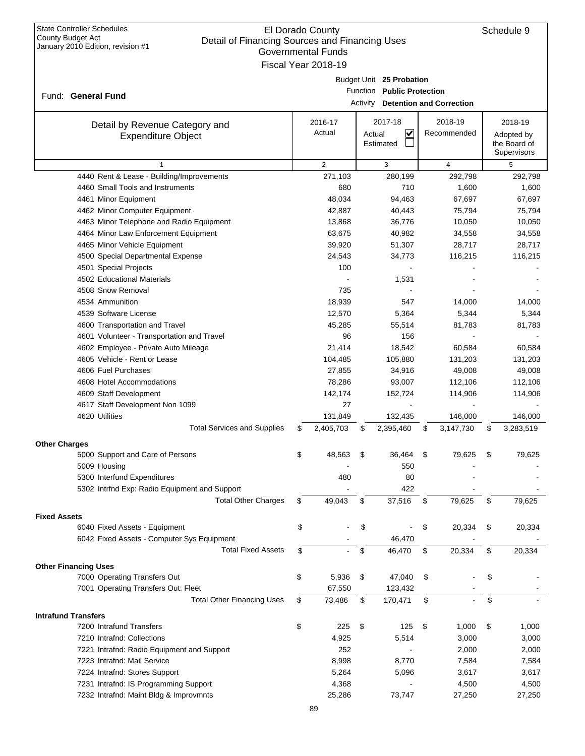|                                                             | Governmental Funds  |        |                                          |                 |                 |
|-------------------------------------------------------------|---------------------|--------|------------------------------------------|-----------------|-----------------|
|                                                             | Fiscal Year 2018-19 |        |                                          |                 |                 |
|                                                             |                     |        | Budget Unit 25 Probation                 |                 |                 |
| Fund: General Fund                                          |                     |        | Function Public Protection               |                 |                 |
|                                                             |                     |        | Activity <b>Detention and Correction</b> |                 |                 |
|                                                             | 2016-17             |        | 2017-18                                  | 2018-19         | 2018-19         |
| Detail by Revenue Category and<br><b>Expenditure Object</b> | Actual              | Actual | $\overline{\mathbf{v}}$                  | Recommended     | Adopted by      |
|                                                             |                     |        | Estimated                                |                 | the Board of    |
|                                                             |                     |        |                                          |                 | Supervisors     |
| $\mathbf{1}$                                                | $\overline{2}$      |        | 3                                        | 4               | 5               |
| 4440 Rent & Lease - Building/Improvements                   | 271,103             |        | 280,199                                  | 292,798         | 292,798         |
| 4460 Small Tools and Instruments                            | 680                 |        | 710                                      | 1,600           | 1,600           |
| 4461 Minor Equipment                                        | 48,034              |        | 94,463                                   | 67,697          | 67,697          |
| 4462 Minor Computer Equipment                               | 42,887              |        | 40,443                                   | 75,794          | 75,794          |
| 4463 Minor Telephone and Radio Equipment                    | 13,868              |        | 36,776                                   | 10,050          | 10,050          |
| 4464 Minor Law Enforcement Equipment                        | 63,675              |        | 40,982                                   | 34,558          | 34,558          |
| 4465 Minor Vehicle Equipment                                | 39,920              |        | 51,307                                   | 28,717          | 28,717          |
| 4500 Special Departmental Expense                           | 24,543              |        | 34,773                                   | 116,215         | 116,215         |
| 4501 Special Projects                                       | 100                 |        |                                          |                 |                 |
| 4502 Educational Materials<br>4508 Snow Removal             | 735                 |        | 1,531                                    |                 |                 |
| 4534 Ammunition                                             | 18,939              |        |                                          | 14,000          | 14,000          |
| 4539 Software License                                       |                     |        | 547                                      |                 |                 |
| 4600 Transportation and Travel                              | 12,570<br>45,285    |        | 5,364<br>55,514                          | 5,344<br>81,783 | 5,344<br>81,783 |
| 4601 Volunteer - Transportation and Travel                  | 96                  |        | 156                                      |                 |                 |
| 4602 Employee - Private Auto Mileage                        | 21,414              |        | 18,542                                   | 60,584          | 60,584          |
| 4605 Vehicle - Rent or Lease                                | 104,485             |        | 105,880                                  | 131,203         | 131,203         |
| 4606 Fuel Purchases                                         | 27,855              |        | 34,916                                   | 49,008          | 49,008          |
| 4608 Hotel Accommodations                                   | 78,286              |        | 93,007                                   | 112,106         | 112,106         |
| 4609 Staff Development                                      | 142,174             |        | 152,724                                  | 114,906         | 114,906         |
| 4617 Staff Development Non 1099                             | 27                  |        |                                          |                 |                 |
| 4620 Utilities                                              | 131,849             |        | 132,435                                  | 146,000         | 146,000         |
| <b>Total Services and Supplies</b>                          | \$<br>2,405,703     | \$     | 2,395,460                                | \$<br>3,147,730 | \$<br>3,283,519 |
|                                                             |                     |        |                                          |                 |                 |
| <b>Other Charges</b>                                        |                     |        |                                          |                 |                 |
| 5000 Support and Care of Persons                            | \$<br>48,563        | \$     | 36,464                                   | \$<br>79,625    | \$<br>79,625    |
| 5009 Housing                                                |                     |        | 550                                      |                 |                 |
| 5300 Interfund Expenditures                                 | 480                 |        | 80                                       |                 |                 |
| 5302 Intrfnd Exp: Radio Equipment and Support               |                     |        | 422                                      |                 |                 |
| <b>Total Other Charges</b>                                  | \$<br>49,043        | \$     | 37,516                                   | \$<br>79,625    | \$<br>79,625    |
| <b>Fixed Assets</b>                                         |                     |        |                                          |                 |                 |
| 6040 Fixed Assets - Equipment                               | \$                  | \$     |                                          | \$<br>20,334    | \$<br>20,334    |
| 6042 Fixed Assets - Computer Sys Equipment                  |                     |        | 46,470                                   |                 |                 |
| <b>Total Fixed Assets</b>                                   | \$                  | \$     | 46,470                                   | \$<br>20,334    | \$<br>20,334    |
| <b>Other Financing Uses</b>                                 |                     |        |                                          |                 |                 |
| 7000 Operating Transfers Out                                | \$<br>5,936         | \$     | 47,040                                   | \$              | \$              |
| 7001 Operating Transfers Out: Fleet                         | 67,550              |        | 123,432                                  |                 |                 |
| <b>Total Other Financing Uses</b>                           | \$<br>73,486        | \$     | 170,471                                  | \$              | \$              |
| <b>Intrafund Transfers</b>                                  |                     |        |                                          |                 |                 |
| 7200 Intrafund Transfers                                    | \$<br>225           | \$     | 125                                      | \$<br>1,000     | \$<br>1,000     |
| 7210 Intrafnd: Collections                                  | 4,925               |        | 5,514                                    | 3,000           | 3,000           |
| 7221 Intrafnd: Radio Equipment and Support                  | 252                 |        |                                          | 2,000           | 2,000           |
| 7223 Intrafnd: Mail Service                                 | 8,998               |        | 8,770                                    | 7,584           | 7,584           |
| 7224 Intrafnd: Stores Support                               | 5,264               |        | 5,096                                    | 3,617           | 3,617           |
| 7231 Intrafnd: IS Programming Support                       | 4,368               |        |                                          | 4,500           | 4,500           |
| 7232 Intrafnd: Maint Bldg & Improvmnts                      | 25,286              |        | 73,747                                   | 27,250          | 27,250          |